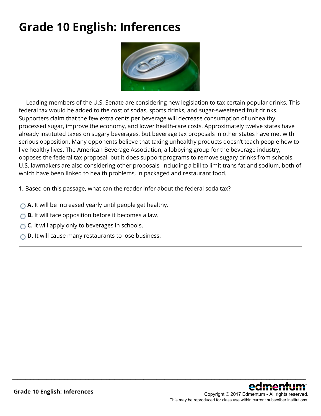# **Grade 10 English: Inferences**



 Leading members of the U.S. Senate are considering new legislation to tax certain popular drinks. This federal tax would be added to the cost of sodas, sports drinks, and sugar-sweetened fruit drinks. Supporters claim that the few extra cents per beverage will decrease consumption of unhealthy processed sugar, improve the economy, and lower health-care costs. Approximately twelve states have already instituted taxes on sugary beverages, but beverage tax proposals in other states have met with serious opposition. Many opponents believe that taxing unhealthy products doesn't teach people how to live healthy lives. The American Beverage Association, a lobbying group for the beverage industry, opposes the federal tax proposal, but it does support programs to remove sugary drinks from schools. U.S. lawmakers are also considering other proposals, including a bill to limit trans fat and sodium, both of which have been linked to health problems, in packaged and restaurant food.

\_\_\_\_\_\_\_\_\_\_\_\_\_\_\_\_\_\_\_\_\_\_\_\_\_\_\_\_\_\_\_\_\_\_\_\_\_\_\_\_\_\_\_\_\_\_\_\_\_\_\_\_\_\_\_\_\_\_\_\_\_\_\_\_\_\_\_\_\_\_\_\_\_\_\_\_\_\_\_\_\_\_\_\_\_\_\_\_\_\_\_\_\_\_\_\_\_\_\_\_\_\_\_\_\_\_\_\_\_\_\_\_

**1.** Based on this passage, what can the reader infer about the federal soda tax?

- **A.** It will be increased yearly until people get healthy.
- **B.** It will face opposition before it becomes a law.
- **C.** It will apply only to beverages in schools.
- **D.** It will cause many restaurants to lose business.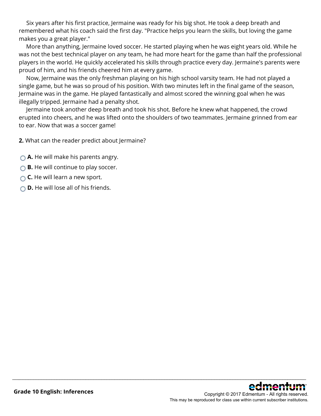Six years after his first practice, Jermaine was ready for his big shot. He took a deep breath and remembered what his coach said the first day. "Practice helps you learn the skills, but loving the game makes you a great player."

 More than anything, Jermaine loved soccer. He started playing when he was eight years old. While he was not the best technical player on any team, he had more heart for the game than half the professional players in the world. He quickly accelerated his skills through practice every day. Jermaine's parents were proud of him, and his friends cheered him at every game.

 Now, Jermaine was the only freshman playing on his high school varsity team. He had not played a single game, but he was so proud of his position. With two minutes left in the final game of the season, Jermaine was in the game. He played fantastically and almost scored the winning goal when he was illegally tripped. Jermaine had a penalty shot.

 Jermaine took another deep breath and took his shot. Before he knew what happened, the crowd erupted into cheers, and he was lifted onto the shoulders of two teammates. Jermaine grinned from ear to ear. Now that was a soccer game!

\_\_\_\_\_\_\_\_\_\_\_\_\_\_\_\_\_\_\_\_\_\_\_\_\_\_\_\_\_\_\_\_\_\_\_\_\_\_\_\_\_\_\_\_\_\_\_\_\_\_\_\_\_\_\_\_\_\_\_\_\_\_\_\_\_\_\_\_\_\_\_\_\_\_\_\_\_\_\_\_\_\_\_\_\_\_\_\_\_\_\_\_\_\_\_\_\_\_\_\_\_\_\_\_\_\_\_\_\_\_\_\_

**2.** What can the reader predict about Jermaine?

**A.** He will make his parents angry.

**B.** He will continue to play soccer.

- **C.** He will learn a new sport.
- **D.** He will lose all of his friends.

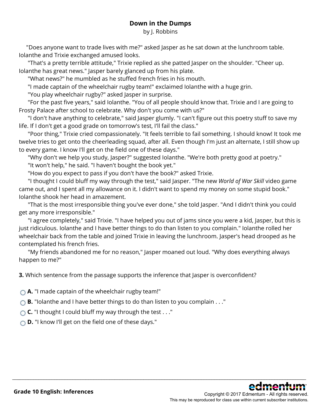### **Down in the Dumps**

by J. Robbins

 "Does anyone want to trade lives with me?" asked Jasper as he sat down at the lunchroom table. Iolanthe and Trixie exchanged amused looks.

 "That's a pretty terrible attitude," Trixie replied as she patted Jasper on the shoulder. "Cheer up. Iolanthe has great news." Jasper barely glanced up from his plate.

"What news?" he mumbled as he stuffed french fries in his mouth.

"I made captain of the wheelchair rugby team!" exclaimed Iolanthe with a huge grin.

"You play wheelchair rugby?" asked Jasper in surprise.

"For the past five years," said Iolanthe. "You of all people should know that. Trixie and I are going to Frosty Palace after school to celebrate. Why don't you come with us?"

 "I don't have anything to celebrate," said Jasper glumly. "I can't figure out this poetry stuff to save my life. If I don't get a good grade on tomorrow's test, I'll fail the class."

 "Poor thing," Trixie cried compassionately. "It feels terrible to fail something. I should know! It took me twelve tries to get onto the cheerleading squad, after all. Even though I'm just an alternate, I still show up to every game. I know I'll get on the field one of these days."

"Why don't we help you study, Jasper?" suggested Iolanthe. "We're both pretty good at poetry." "It won't help," he said. "I haven't bought the book yet."

"How do you expect to pass if you don't have the book?" asked Trixie.

"I thought I could bluff my way through the test," said Jasper. "The new *World of War Skill* video game came out, and I spent all my allowance on it. I didn't want to spend my money on some stupid book." Iolanthe shook her head in amazement.

 "That is the most irresponsible thing you've ever done," she told Jasper. "And I didn't think you could get any more irresponsible."

 "I agree completely," said Trixie. "I have helped you out of jams since you were a kid, Jasper, but this is just ridiculous. Iolanthe and I have better things to do than listen to you complain." Iolanthe rolled her wheelchair back from the table and joined Trixie in leaving the lunchroom. Jasper's head drooped as he contemplated his french fries.

 "My friends abandoned me for no reason," Jasper moaned out loud. "Why does everything always happen to me?"

\_\_\_\_\_\_\_\_\_\_\_\_\_\_\_\_\_\_\_\_\_\_\_\_\_\_\_\_\_\_\_\_\_\_\_\_\_\_\_\_\_\_\_\_\_\_\_\_\_\_\_\_\_\_\_\_\_\_\_\_\_\_\_\_\_\_\_\_\_\_\_\_\_\_\_\_\_\_\_\_\_\_\_\_\_\_\_\_\_\_\_\_\_\_\_\_\_\_\_\_\_\_\_\_\_\_\_\_\_\_\_\_

**3.** Which sentence from the passage supports the inference that Jasper is overconfident?

**A.** "I made captain of the wheelchair rugby team!"

**B.** "Iolanthe and I have better things to do than listen to you complain . . ."

**C.** "I thought I could bluff my way through the test . . ."

**D.** "I know I'll get on the field one of these days."

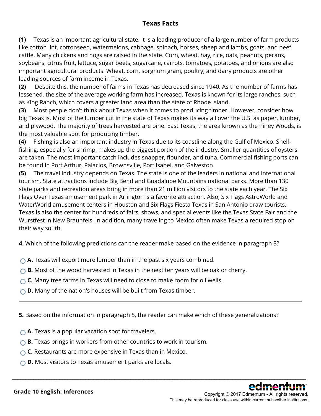### **Texas Facts**

**(1)** Texas is an important agricultural state. It is a leading producer of a large number of farm products like cotton lint, cottonseed, watermelons, cabbage, spinach, horses, sheep and lambs, goats, and beef cattle. Many chickens and hogs are raised in the state. Corn, wheat, hay, rice, oats, peanuts, pecans, soybeans, citrus fruit, lettuce, sugar beets, sugarcane, carrots, tomatoes, potatoes, and onions are also important agricultural products. Wheat, corn, sorghum grain, poultry, and dairy products are other leading sources of farm income in Texas.

**(2)** Despite this, the number of farms in Texas has decreased since 1940. As the number of farms has lessened, the size of the average working farm has increased. Texas is known for its large ranches, such as King Ranch, which covers a greater land area than the state of Rhode Island.

**(3)** Most people don't think about Texas when it comes to producing timber. However, consider how big Texas is. Most of the lumber cut in the state of Texas makes its way all over the U.S. as paper, lumber, and plywood. The majority of trees harvested are pine. East Texas, the area known as the Piney Woods, is the most valuable spot for producing timber.

**(4)** Fishing is also an important industry in Texas due to its coastline along the Gulf of Mexico. Shellfishing, especially for shrimp, makes up the biggest portion of the industry. Smaller quantities of oysters are taken. The most important catch includes snapper, flounder, and tuna. Commercial fishing ports can be found in Port Arthur, Palacios, Brownsville, Port Isabel, and Galveston.

**(5)** The travel industry depends on Texas. The state is one of the leaders in national and international tourism. State attractions include Big Bend and Guadalupe Mountains national parks. More than 130 state parks and recreation areas bring in more than 21 million visitors to the state each year. The Six Flags Over Texas amusement park in Arlington is a favorite attraction. Also, Six Flags AstroWorld and WaterWorld amusement centers in Houston and Six Flags Fiesta Texas in San Antonio draw tourists. Texas is also the center for hundreds of fairs, shows, and special events like the Texas State Fair and the Wurstfest in New Braunfels. In addition, many traveling to Mexico often make Texas a required stop on their way south.

**4.** Which of the following predictions can the reader make based on the evidence in paragraph 3?

- **A.** Texas will export more lumber than in the past six years combined.
- **B.** Most of the wood harvested in Texas in the next ten years will be oak or cherry.
- **C.** Many tree farms in Texas will need to close to make room for oil wells.
- **D.** Many of the nation's houses will be built from Texas timber.

**5.** Based on the information in paragraph 5, the reader can make which of these generalizations?

\_\_\_\_\_\_\_\_\_\_\_\_\_\_\_\_\_\_\_\_\_\_\_\_\_\_\_\_\_\_\_\_\_\_\_\_\_\_\_\_\_\_\_\_\_\_\_\_\_\_\_\_\_\_\_\_\_\_\_\_\_\_\_\_\_\_\_\_\_\_\_\_\_\_\_\_\_\_\_\_\_\_\_\_\_\_\_\_\_\_\_\_\_\_\_\_\_\_\_\_\_\_\_\_\_\_\_\_\_\_\_\_

- **A.** Texas is a popular vacation spot for travelers.
- **B.** Texas brings in workers from other countries to work in tourism.
- ◯ **C.** Restaurants are more expensive in Texas than in Mexico.
- **D.** Most visitors to Texas amusement parks are locals.



This may be reproduced for class use within current subscriber institutions.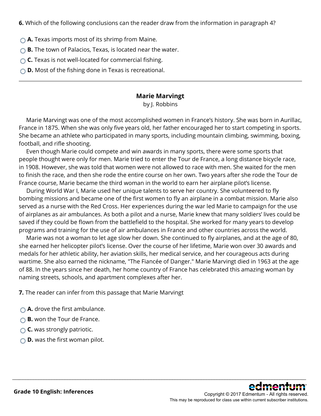**6.** Which of the following conclusions can the reader draw from the information in paragraph 4?

- **A.** Texas imports most of its shrimp from Maine.
- **B.** The town of Palacios, Texas, is located near the water.
- **C.** Texas is not well-located for commercial fishing.
- **D.** Most of the fishing done in Texas is recreational.

#### **Marie Marvingt**

by J. Robbins

 Marie Marvingt was one of the most accomplished women in France's history. She was born in Aurillac, France in 1875. When she was only five years old, her father encouraged her to start competing in sports. She became an athlete who participated in many sports, including mountain climbing, swimming, boxing, football, and rifle shooting.

 Even though Marie could compete and win awards in many sports, there were some sports that people thought were only for men. Marie tried to enter the Tour de France, a long distance bicycle race, in 1908. However, she was told that women were not allowed to race with men. She waited for the men to finish the race, and then she rode the entire course on her own. Two years after she rode the Tour de France course, Marie became the third woman in the world to earn her airplane pilot's license.

 During World War I, Marie used her unique talents to serve her country. She volunteered to fly bombing missions and became one of the first women to fly an airplane in a combat mission. Marie also served as a nurse with the Red Cross. Her experiences during the war led Marie to campaign for the use of airplanes as air ambulances. As both a pilot and a nurse, Marie knew that many soldiers' lives could be saved if they could be flown from the battlefield to the hospital. She worked for many years to develop programs and training for the use of air ambulances in France and other countries across the world.

 Marie was not a woman to let age slow her down. She continued to fly airplanes, and at the age of 80, she earned her helicopter pilot's license. Over the course of her lifetime, Marie won over 30 awards and medals for her athletic ability, her aviation skills, her medical service, and her courageous acts during wartime. She also earned the nickname, "The Fiancée of Danger." Marie Marvingt died in 1963 at the age of 88. In the years since her death, her home country of France has celebrated this amazing woman by naming streets, schools, and apartment complexes after her.

\_\_\_\_\_\_\_\_\_\_\_\_\_\_\_\_\_\_\_\_\_\_\_\_\_\_\_\_\_\_\_\_\_\_\_\_\_\_\_\_\_\_\_\_\_\_\_\_\_\_\_\_\_\_\_\_\_\_\_\_\_\_\_\_\_\_\_\_\_\_\_\_\_\_\_\_\_\_\_\_\_\_\_\_\_\_\_\_\_\_\_\_\_\_\_\_\_\_\_\_\_\_\_\_\_\_\_\_\_\_\_\_

**7.** The reader can infer from this passage that Marie Marvingt

- **△ A.** drove the first ambulance.
- **B.** won the Tour de France.
- **C.** was strongly patriotic.
- **D.** was the first woman pilot.

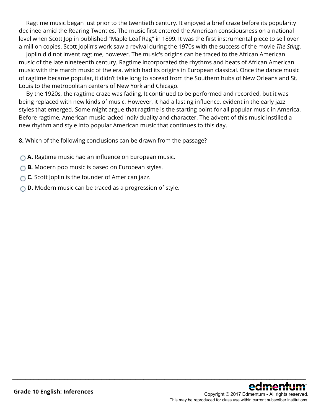Ragtime music began just prior to the twentieth century. It enjoyed a brief craze before its popularity declined amid the Roaring Twenties. The music first entered the American consciousness on a national level when Scott Joplin published "Maple Leaf Rag" in 1899. It was the first instrumental piece to sell over a million copies. Scott Joplin's work saw a revival during the 1970s with the success of the movie *The Sting*.

 Joplin did not invent ragtime, however. The music's origins can be traced to the African American music of the late nineteenth century. Ragtime incorporated the rhythms and beats of African American music with the march music of the era, which had its origins in European classical. Once the dance music of ragtime became popular, it didn't take long to spread from the Southern hubs of New Orleans and St. Louis to the metropolitan centers of New York and Chicago.

 By the 1920s, the ragtime craze was fading. It continued to be performed and recorded, but it was being replaced with new kinds of music. However, it had a lasting influence, evident in the early jazz styles that emerged. Some might argue that ragtime is the starting point for all popular music in America. Before ragtime, American music lacked individuality and character. The advent of this music instilled a new rhythm and style into popular American music that continues to this day.

\_\_\_\_\_\_\_\_\_\_\_\_\_\_\_\_\_\_\_\_\_\_\_\_\_\_\_\_\_\_\_\_\_\_\_\_\_\_\_\_\_\_\_\_\_\_\_\_\_\_\_\_\_\_\_\_\_\_\_\_\_\_\_\_\_\_\_\_\_\_\_\_\_\_\_\_\_\_\_\_\_\_\_\_\_\_\_\_\_\_\_\_\_\_\_\_\_\_\_\_\_\_\_\_\_\_\_\_\_\_\_\_

**8.** Which of the following conclusions can be drawn from the passage?

- **A.** Ragtime music had an influence on European music.
- **B.** Modern pop music is based on European styles.
- **C.** Scott Joplin is the founder of American jazz.
- **D.** Modern music can be traced as a progression of style.

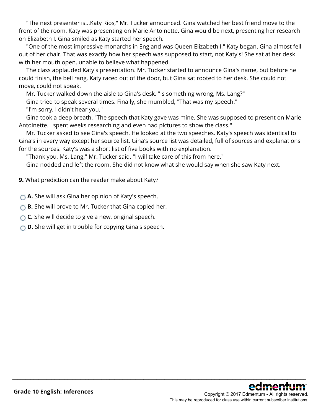"The next presenter is...Katy Rios," Mr. Tucker announced. Gina watched her best friend move to the front of the room. Katy was presenting on Marie Antoinette. Gina would be next, presenting her research on Elizabeth I. Gina smiled as Katy started her speech.

 "One of the most impressive monarchs in England was Queen Elizabeth I," Katy began. Gina almost fell out of her chair. That was exactly how her speech was supposed to start, not Katy's! She sat at her desk with her mouth open, unable to believe what happened.

 The class applauded Katy's presentation. Mr. Tucker started to announce Gina's name, but before he could finish, the bell rang. Katy raced out of the door, but Gina sat rooted to her desk. She could not move, could not speak.

Mr. Tucker walked down the aisle to Gina's desk. "Is something wrong, Ms. Lang?"

Gina tried to speak several times. Finally, she mumbled, "That was my speech."

"I'm sorry, I didn't hear you."

 Gina took a deep breath. "The speech that Katy gave was mine. She was supposed to present on Marie Antoinette. I spent weeks researching and even had pictures to show the class."

 Mr. Tucker asked to see Gina's speech. He looked at the two speeches. Katy's speech was identical to Gina's in every way except her source list. Gina's source list was detailed, full of sources and explanations for the sources. Katy's was a short list of five books with no explanation.

"Thank you, Ms. Lang," Mr. Tucker said. "I will take care of this from here."

Gina nodded and left the room. She did not know what she would say when she saw Katy next.

\_\_\_\_\_\_\_\_\_\_\_\_\_\_\_\_\_\_\_\_\_\_\_\_\_\_\_\_\_\_\_\_\_\_\_\_\_\_\_\_\_\_\_\_\_\_\_\_\_\_\_\_\_\_\_\_\_\_\_\_\_\_\_\_\_\_\_\_\_\_\_\_\_\_\_\_\_\_\_\_\_\_\_\_\_\_\_\_\_\_\_\_\_\_\_\_\_\_\_\_\_\_\_\_\_\_\_\_\_\_\_\_

**9.** What prediction can the reader make about Katy?

**A.** She will ask Gina her opinion of Katy's speech.

- **B.** She will prove to Mr. Tucker that Gina copied her.
- **C.** She will decide to give a new, original speech.
- **D.** She will get in trouble for copying Gina's speech.

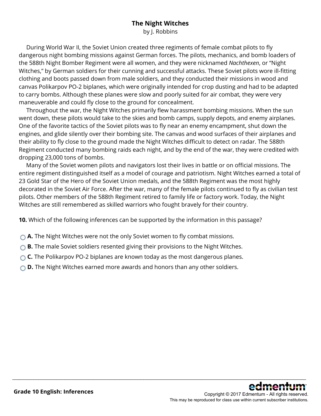### **The Night Witches**

by J. Robbins

 During World War II, the Soviet Union created three regiments of female combat pilots to fly dangerous night bombing missions against German forces. The pilots, mechanics, and bomb loaders of the 588th Night Bomber Regiment were all women, and they were nicknamed *Nachthexen*, or "Night Witches," by German soldiers for their cunning and successful attacks. These Soviet pilots wore ill-fitting clothing and boots passed down from male soldiers, and they conducted their missions in wood and canvas Polikarpov PO-2 biplanes, which were originally intended for crop dusting and had to be adapted to carry bombs. Although these planes were slow and poorly suited for air combat, they were very maneuverable and could fly close to the ground for concealment.

 Throughout the war, the Night Witches primarily flew harassment bombing missions. When the sun went down, these pilots would take to the skies and bomb camps, supply depots, and enemy airplanes. One of the favorite tactics of the Soviet pilots was to fly near an enemy encampment, shut down the engines, and glide silently over their bombing site. The canvas and wood surfaces of their airplanes and their ability to fly close to the ground made the Night Witches difficult to detect on radar. The 588th Regiment conducted many bombing raids each night, and by the end of the war, they were credited with dropping 23,000 tons of bombs.

 Many of the Soviet women pilots and navigators lost their lives in battle or on official missions. The entire regiment distinguished itself as a model of courage and patriotism. Night Witches earned a total of 23 Gold Star of the Hero of the Soviet Union medals, and the 588th Regiment was the most highly decorated in the Soviet Air Force. After the war, many of the female pilots continued to fly as civilian test pilots. Other members of the 588th Regiment retired to family life or factory work. Today, the Night Witches are still remembered as skilled warriors who fought bravely for their country.

\_\_\_\_\_\_\_\_\_\_\_\_\_\_\_\_\_\_\_\_\_\_\_\_\_\_\_\_\_\_\_\_\_\_\_\_\_\_\_\_\_\_\_\_\_\_\_\_\_\_\_\_\_\_\_\_\_\_\_\_\_\_\_\_\_\_\_\_\_\_\_\_\_\_\_\_\_\_\_\_\_\_\_\_\_\_\_\_\_\_\_\_\_\_\_\_\_\_\_\_\_\_\_\_\_\_\_\_\_\_\_\_

**10.** Which of the following inferences can be supported by the information in this passage?

- **A.** The Night Witches were not the only Soviet women to fly combat missions.
- **B.** The male Soviet soldiers resented giving their provisions to the Night Witches.
- **C.** The Polikarpov PO-2 biplanes are known today as the most dangerous planes.
- **D.** The Night Witches earned more awards and honors than any other soldiers.

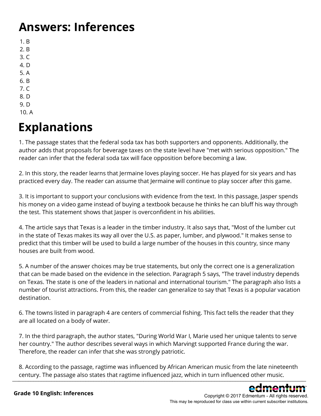# **Answers: Inferences**

- 1. B
- 2. B
- 3. C
- 4. D
- 5. A
- 6. B 7. C
- 8. D
- 9. D
- 10. A

# **Explanations**

1. The passage states that the federal soda tax has both supporters and opponents. Additionally, the author adds that proposals for beverage taxes on the state level have "met with serious opposition." The reader can infer that the federal soda tax will face opposition before becoming a law.

2. In this story, the reader learns that Jermaine loves playing soccer. He has played for six years and has practiced every day. The reader can assume that Jermaine will continue to play soccer after this game.

3. It is important to support your conclusions with evidence from the text. In this passage, Jasper spends his money on a video game instead of buying a textbook because he thinks he can bluff his way through the test. This statement shows that Jasper is overconfident in his abilities.

4. The article says that Texas is a leader in the timber industry. It also says that, "Most of the lumber cut in the state of Texas makes its way all over the U.S. as paper, lumber, and plywood." It makes sense to predict that this timber will be used to build a large number of the houses in this country, since many houses are built from wood.

5. A number of the answer choices may be true statements, but only the correct one is a generalization that can be made based on the evidence in the selection. Paragraph 5 says, "The travel industry depends on Texas. The state is one of the leaders in national and international tourism." The paragraph also lists a number of tourist attractions. From this, the reader can generalize to say that Texas is a popular vacation destination.

6. The towns listed in paragraph 4 are centers of commercial fishing. This fact tells the reader that they are all located on a body of water.

7. In the third paragraph, the author states, "During World War I, Marie used her unique talents to serve her country." The author describes several ways in which Marvingt supported France during the war. Therefore, the reader can infer that she was strongly patriotic.

8. According to the passage, ragtime was influenced by African American music from the late nineteenth century. The passage also states that ragtime influenced jazz, which in turn influenced other music. \_\_\_\_\_\_\_\_\_\_\_\_\_\_\_\_\_\_\_\_\_\_\_\_\_\_\_\_\_\_\_\_\_\_\_\_\_\_\_\_\_\_\_\_\_\_\_\_\_\_\_\_\_\_\_\_\_\_\_\_\_\_\_\_\_\_\_\_\_\_\_\_\_\_\_\_\_\_\_\_\_\_\_\_\_\_\_\_\_\_\_\_\_\_\_\_\_\_\_\_\_\_\_\_\_\_\_\_\_\_\_\_

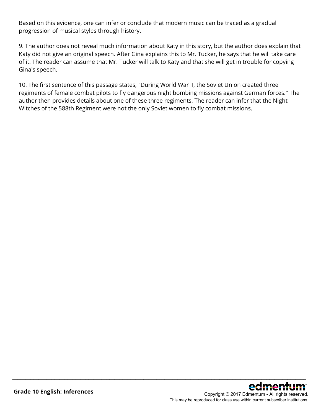Based on this evidence, one can infer or conclude that modern music can be traced as a gradual progression of musical styles through history.

9. The author does not reveal much information about Katy in this story, but the author does explain that Katy did not give an original speech. After Gina explains this to Mr. Tucker, he says that he will take care of it. The reader can assume that Mr. Tucker will talk to Katy and that she will get in trouble for copying Gina's speech.

10. The first sentence of this passage states, "During World War II, the Soviet Union created three regiments of female combat pilots to fly dangerous night bombing missions against German forces." The author then provides details about one of these three regiments. The reader can infer that the Night Witches of the 588th Regiment were not the only Soviet women to fly combat missions.

\_\_\_\_\_\_\_\_\_\_\_\_\_\_\_\_\_\_\_\_\_\_\_\_\_\_\_\_\_\_\_\_\_\_\_\_\_\_\_\_\_\_\_\_\_\_\_\_\_\_\_\_\_\_\_\_\_\_\_\_\_\_\_\_\_\_\_\_\_\_\_\_\_\_\_\_\_\_\_\_\_\_\_\_\_\_\_\_\_\_\_\_\_\_\_\_\_\_\_\_\_\_\_\_\_\_\_\_\_\_\_\_

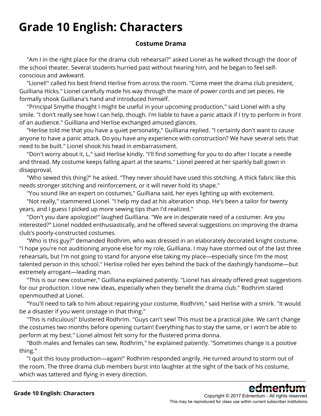# **Grade 10 English: Characters**

### **Costume Drama**

 "Am I in the right place for the drama club rehearsal?" asked Lionel as he walked through the door of the school theater. Several students hurried past without hearing him, and he began to feel selfconscious and awkward.

 "Lionel!" called his best friend Herlise from across the room. "Come meet the drama club president, Guilliana Hicks." Lionel carefully made his way through the maze of power cords and set pieces. He formally shook Guilliana's hand and introduced himself.

 "Principal Smythe thought I might be useful in your upcoming production," said Lionel with a shy smile. "I don't really see how I can help, though. I'm liable to have a panic attack if I try to perform in front of an audience." Guilliana and Herlise exchanged amused glances.

 "Herlise told me that you have a quiet personality," Guilliana replied. "I certainly don't want to cause anyone to have a panic attack. Do you have any experience with construction? We have several sets that need to be built." Lionel shook his head in embarrassment.

 "Don't worry about it, L," said Herlise kindly. "I'll find something for you to do after I locate a needle and thread. My costume keeps falling apart at the seams." Lionel peered at her sparkly ball gown in disapproval.

 "Who sewed this thing?" he asked. "They never should have used this stitching. A thick fabric like this needs stronger stitching and reinforcement, or it will never hold its shape."

"You sound like an expert on costumes," Guilliana said, her eyes lighting up with excitement.

 "Not really," stammered Lionel. "I help my dad at his alteration shop. He's been a tailor for twenty years, and I guess I picked up more sewing tips than I'd realized."

 "Don't you dare apologize!" laughed Guilliana. "We are in desperate need of a costumer. Are you interested?" Lionel nodded enthusiastically, and he offered several suggestions on improving the drama club's poorly-constructed costumes.

 "Who is this guy?" demanded Rodhrim, who was dressed in an elaborately decorated knight costume. "I hope you're not auditioning anyone else for my role, Guilliana. I may have stormed out of the last three rehearsals, but I'm not going to stand for anyone else taking my place—especially since I'm the most talented person in this school." Herlise rolled her eyes behind the back of the dashingly handsome—but extremely arrogant—leading man.

 "This is our new costumer," Guilliana explained patiently. "Lionel has already offered great suggestions for our production. I love new ideas, especially when they benefit the drama club." Rodhrim stared openmouthed at Lionel.

 "You'll need to talk to him about repairing your costume, Rodhrim," said Herlise with a smirk. "It would be a disaster if you went onstage in that thing."

 "This is ridiculous!" blustered Rodhrim. "Guys can't sew! This must be a practical joke. We can't change the costumes two months before opening curtain! Everything has to stay the same, or I won't be able to perform at my best." Lionel almost felt sorry for the flustered prima donna.

 "Both males and females can sew, Rodhrim," he explained patiently. "Sometimes change is a positive thing."

 "I quit this lousy production—again!" Rodhrim responded angrily. He turned around to storm out of the room. The three drama club members burst into laughter at the sight of the back of his costume, which was tattered and flying in every direction.  $\bot$  . The contribution of  $\bm{S}$  ,  $\bm{S}$  ,  $\bm{S}$  ,  $\bm{S}$  ,  $\bm{S}$  ,  $\bm{S}$  ,  $\bm{S}$  ,  $\bm{S}$  ,  $\bm{S}$  ,  $\bm{S}$  ,  $\bm{S}$  ,  $\bm{S}$  ,  $\bm{S}$  ,  $\bm{S}$  ,  $\bm{S}$  ,  $\bm{S}$  ,  $\bm{S}$  ,  $\bm{S}$  ,  $\bm{S}$  ,  $\bm{$ 

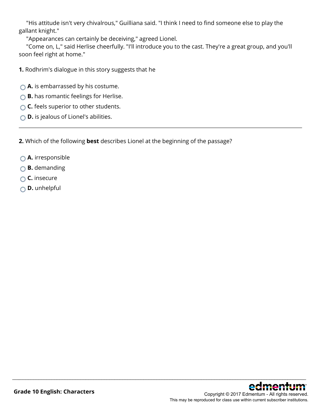"His attitude isn't very chivalrous," Guilliana said. "I think I need to find someone else to play the gallant knight."

"Appearances can certainly be deceiving," agreed Lionel.

 "Come on, L," said Herlise cheerfully. "I'll introduce you to the cast. They're a great group, and you'll soon feel right at home."

\_\_\_\_\_\_\_\_\_\_\_\_\_\_\_\_\_\_\_\_\_\_\_\_\_\_\_\_\_\_\_\_\_\_\_\_\_\_\_\_\_\_\_\_\_\_\_\_\_\_\_\_\_\_\_\_\_\_\_\_\_\_\_\_\_\_\_\_\_\_\_\_\_\_\_\_\_\_\_\_\_\_\_\_\_\_\_\_\_\_\_\_\_\_\_\_\_\_\_\_\_\_\_\_\_\_\_\_\_\_\_\_

- **1.** Rodhrim's dialogue in this story suggests that he
- **A.** is embarrassed by his costume.
- **B.** has romantic feelings for Herlise.
- **C.** feels superior to other students.
- **D.** is jealous of Lionel's abilities.

**2.** Which of the following **best** describes Lionel at the beginning of the passage?

- **A.** irresponsible
- **B.** demanding
- **C.** insecure
- **D.** unhelpful

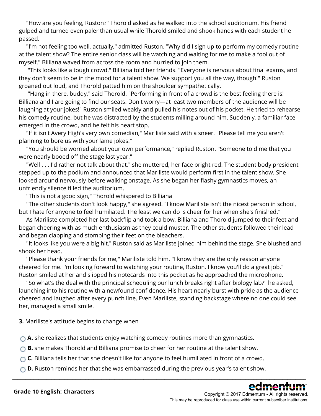"How are you feeling, Ruston?" Thorold asked as he walked into the school auditorium. His friend gulped and turned even paler than usual while Thorold smiled and shook hands with each student he passed.

 "I'm not feeling too well, actually," admitted Ruston. "Why did I sign up to perform my comedy routine at the talent show? The entire senior class will be watching and waiting for me to make a fool out of myself." Billiana waved from across the room and hurried to join them.

 "This looks like a tough crowd," Billiana told her friends. "Everyone is nervous about final exams, and they don't seem to be in the mood for a talent show. We support you all the way, though!" Ruston groaned out loud, and Thorold patted him on the shoulder sympathetically.

 "Hang in there, buddy," said Thorold. "Performing in front of a crowd is the best feeling there is! Billiana and I are going to find our seats. Don't worry—at least two members of the audience will be laughing at your jokes!" Ruston smiled weakly and pulled his notes out of his pocket. He tried to rehearse his comedy routine, but he was distracted by the students milling around him. Suddenly, a familiar face emerged in the crowd, and he felt his heart stop.

 "If it isn't Avery High's very own comedian," Mariliste said with a sneer. "Please tell me you aren't planning to bore us with your lame jokes."

 "You should be worried about your own performance," replied Ruston. "Someone told me that you were nearly booed off the stage last year."

 "Well . . . I'd rather not talk about that," she muttered, her face bright red. The student body president stepped up to the podium and announced that Mariliste would perform first in the talent show. She looked around nervously before walking onstage. As she began her flashy gymnastics moves, an unfriendly silence filled the auditorium.

"This is not a good sign," Thorold whispered to Billiana

 "The other students don't look happy," she agreed. "I know Mariliste isn't the nicest person in school, but I hate for anyone to feel humiliated. The least we can do is cheer for her when she's finished."

 As Mariliste completed her last backflip and took a bow, Billiana and Thorold jumped to their feet and began cheering with as much enthusiasm as they could muster. The other students followed their lead and began clapping and stomping their feet on the bleachers.

 "It looks like you were a big hit," Ruston said as Mariliste joined him behind the stage. She blushed and shook her head.

 "Please thank your friends for me," Mariliste told him. "I know they are the only reason anyone cheered for me. I'm looking forward to watching your routine, Ruston. I know you'll do a great job." Ruston smiled at her and slipped his notecards into this pocket as he approached the microphone.

 "So what's the deal with the principal scheduling our lunch breaks right after biology lab?" he asked, launching into his routine with a newfound confidence. His heart nearly burst with pride as the audience cheered and laughed after every punch line. Even Mariliste, standing backstage where no one could see her, managed a small smile.

\_\_\_\_\_\_\_\_\_\_\_\_\_\_\_\_\_\_\_\_\_\_\_\_\_\_\_\_\_\_\_\_\_\_\_\_\_\_\_\_\_\_\_\_\_\_\_\_\_\_\_\_\_\_\_\_\_\_\_\_\_\_\_\_\_\_\_\_\_\_\_\_\_\_\_\_\_\_\_\_\_\_\_\_\_\_\_\_\_\_\_\_\_\_\_\_\_\_\_\_\_\_\_\_\_\_\_\_\_\_\_\_

**3.** Mariliste's attitude begins to change when

**A.** she realizes that students enjoy watching comedy routines more than gymnastics.

- **B.** she makes Thorold and Billiana promise to cheer for her routine at the talent show.
- ◯ **C.** Billiana tells her that she doesn't like for anyone to feel humiliated in front of a crowd.
- **D.** Ruston reminds her that she was embarrassed during the previous year's talent show.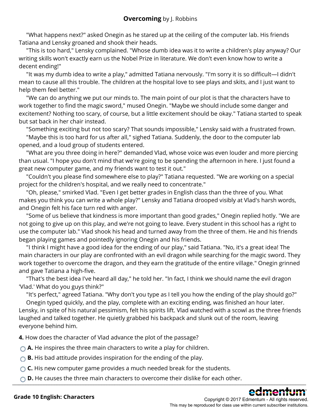"What happens next?" asked Onegin as he stared up at the ceiling of the computer lab. His friends Tatiana and Lensky groaned and shook their heads.

 "This is too hard," Lensky complained. "Whose dumb idea was it to write a children's play anyway? Our writing skills won't exactly earn us the Nobel Prize in literature. We don't even know how to write a decent ending!"

 "It was my dumb idea to write a play," admitted Tatiana nervously. "I'm sorry it is so difficult—I didn't mean to cause all this trouble. The children at the hospital love to see plays and skits, and I just want to help them feel better."

 "We can do anything we put our minds to. The main point of our plot is that the characters have to work together to find the magic sword," mused Onegin. "Maybe we should include some danger and excitement? Nothing too scary, of course, but a little excitement should be okay." Tatiana started to speak but sat back in her chair instead.

 "Something exciting but not too scary? That sounds impossible," Lensky said with a frustrated frown. "Maybe this is too hard for us after all," sighed Tatiana. Suddenly, the door to the computer lab opened, and a loud group of students entered.

 "What are you three doing in here?" demanded Vlad, whose voice was even louder and more piercing than usual. "I hope you don't mind that we're going to be spending the afternoon in here. I just found a great new computer game, and my friends want to test it out."

 "Couldn't you please find somewhere else to play?" Tatiana requested. "We are working on a special project for the children's hospital, and we really need to concentrate."

 "Oh, please," smirked Vlad. "Even I get better grades in English class than the three of you. What makes you think you can write a whole play?" Lensky and Tatiana drooped visibly at Vlad's harsh words, and Onegin felt his face turn red with anger.

 "Some of us believe that kindness is more important than good grades," Onegin replied hotly. "We are not going to give up on this play, and we're not going to leave. Every student in this school has a right to use the computer lab." Vlad shook his head and turned away from the three of them. He and his friends began playing games and pointedly ignoring Onegin and his friends.

 "I think I might have a good idea for the ending of our play," said Tatiana. "No, it's a great idea! The main characters in our play are confronted with an evil dragon while searching for the magic sword. They work together to overcome the dragon, and they earn the gratitude of the entire village." Onegin grinned and gave Tatiana a high-five.

 "That's the best idea I've heard all day," he told her. "In fact, I think we should name the evil dragon 'Vlad.' What do you guys think?"

"It's perfect," agreed Tatiana. "Why don't you type as I tell you how the ending of the play should go?"

 Onegin typed quickly, and the play, complete with an exciting ending, was finished an hour later. Lensky, in spite of his natural pessimism, felt his spirits lift. Vlad watched with a scowl as the three friends laughed and talked together. He quietly grabbed his backpack and slunk out of the room, leaving everyone behind him.

**4.** How does the character of Vlad advance the plot of the passage?

**A.** He inspires the three main characters to write a play for children.

**B.** His bad attitude provides inspiration for the ending of the play.

**C.** His new computer game provides a much needed break for the students.

**D.** He causes the three main characters to overcome their dislike for each other.

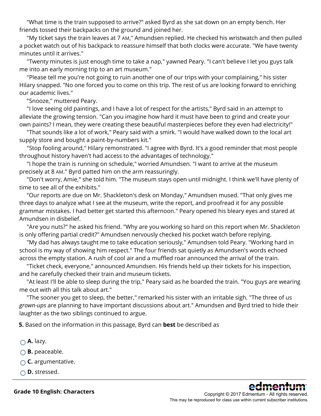"What time is the train supposed to arrive?" asked Byrd as she sat down on an empty bench. Her friends tossed their backpacks on the ground and joined her.

 "My ticket says the train leaves at 7 AM," Amundsen replied. He checked his wristwatch and then pulled a pocket watch out of his backpack to reassure himself that both clocks were accurate. "We have twenty minutes until it arrives."

 "Twenty minutes is just enough time to take a nap," yawned Peary. "I can't believe I let you guys talk me into an early morning trip to an art museum."

 "Please tell me you're not going to ruin another one of our trips with your complaining," his sister Hilary snapped. "No one forced you to come on this trip. The rest of us are looking forward to enriching our academic lives."

"Snooze," muttered Peary.

 "I love seeing old paintings, and I have a lot of respect for the artists," Byrd said in an attempt to alleviate the growing tension. "Can you imagine how hard it must have been to grind and create your own paints? I mean, they were creating these beautiful masterpieces before they even had electricity!"

 "That sounds like a lot of work," Peary said with a smirk. "I would have walked down to the local art supply store and bought a paint-by-numbers kit."

 "Stop fooling around," Hilary remonstrated. "I agree with Byrd. It's a good reminder that most people throughout history haven't had access to the advantages of technology."

 "I hope the train is running on schedule," worried Amundsen. "I want to arrive at the museum precisely at 8 AM." Byrd patted him on the arm reassuringly.

 "Don't worry, Amie," she told him. "The museum stays open until midnight. I think we'll have plenty of time to see all of the exhibits."

 "Our reports are due on Mr. Shackleton's desk on Monday," Amundsen mused. "That only gives me three days to analyze what I see at the museum, write the report, and proofread it for any possible grammar mistakes. I had better get started this afternoon." Peary opened his bleary eyes and stared at Amundsen in disbelief.

 "Are you nuts?" he asked his friend. "Why are you working so hard on this report when Mr. Shackleton is only offering partial credit?" Amundsen nervously checked his pocket watch before replying.

 "My dad has always taught me to take education seriously," Amundsen told Peary. "Working hard in school is my way of showing him respect." The four friends sat quietly as Amundsen's words echoed across the empty station. A rush of cool air and a muffled roar announced the arrival of the train.

 "Ticket check, everyone," announced Amundsen. His friends held up their tickets for his inspection, and he carefully checked their train and museum tickets.

 "At least I'll be able to sleep during the trip," Peary said as he boarded the train. "You guys are wearing me out with all this talk about art."

 "The sooner you get to sleep, the better," remarked his sister with an irritable sigh. "The three of us *grown-ups* are planning to have important discussions about art." Amundsen and Byrd tried to hide their laughter as the two siblings continued to argue.

**5.** Based on the information in this passage, Byrd can **best** be described as

**A.** lazy.

**B.** peaceable.

**○ C.** argumentative.

**D.** stressed.  $\_$  ,  $\_$  ,  $\_$  ,  $\_$  ,  $\_$  ,  $\_$  ,  $\_$  ,  $\_$  ,  $\_$  ,  $\_$  ,  $\_$  ,  $\_$  ,  $\_$  ,  $\_$  ,  $\_$  ,  $\_$  ,  $\_$  ,  $\_$  ,  $\_$  ,  $\_$  ,  $\_$  ,  $\_$  ,  $\_$  ,  $\_$  ,  $\_$  ,  $\_$  ,  $\_$  ,  $\_$  ,  $\_$  ,  $\_$  ,  $\_$  ,  $\_$  ,  $\_$  ,  $\_$  ,  $\_$  ,  $\_$  ,  $\_$  ,



**Grade 10 English: Characters**

Copyright © 2017 Edmentum - All rights reserved. This may be reproduced for class use within current subscriber institutions.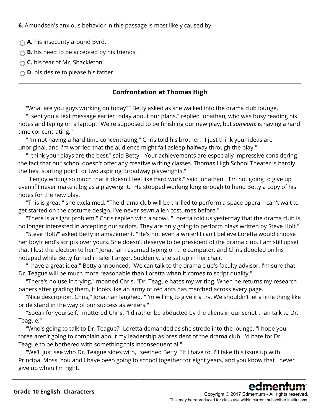**6.** Amundsen's anxious behavior in this passage is most likely caused by

- **A.** his insecurity around Byrd.
- **B.** his need to be accepted by his friends.
- **C.** his fear of Mr. Shackleton.
- **D.** his desire to please his father.

### **Confrontation at Thomas High**

"What are you guys working on today?" Betty asked as she walked into the drama club lounge.

 "I sent you a text message earlier today about our plans," replied Jonathan, who was busy reading his notes and typing on a laptop. "We're supposed to be finishing our new play, but *someone* is having a hard time concentrating."

 "I'm not having a hard time concentrating," Chris told his brother. "I just think your ideas are unoriginal, and I'm worried that the audience might fall asleep halfway through the play."

 "I think your plays are the best," said Betty. "Your achievements are especially impressive considering the fact that our school doesn't offer any creative writing classes. Thomas High School Theater is hardly the best starting point for two aspiring Broadway playwrights."

 "I enjoy writing so much that it doesn't feel like hard work," said Jonathan. "I'm not going to give up even if I never make it big as a playwright." He stopped working long enough to hand Betty a copy of his notes for the new play.

 "This is great!" she exclaimed. "The drama club will be thrilled to perform a space opera. I can't wait to get started on the costume design. I've never sewn alien costumes before."

 "There is a slight problem," Chris replied with a scowl. "Loretta told us yesterday that the drama club is no longer interested in accepting our scripts. They are only going to perform plays written by Steve Holt."

 "Steve Holt?" asked Betty in amazement. "He's not even a writer! I can't believe Loretta would choose her boyfriend's scripts over yours. She doesn't deserve to be president of the drama club. I am still upset that I lost the election to her." Jonathan resumed typing on the computer, and Chris doodled on his notepad while Betty fumed in silent anger. Suddenly, she sat up in her chair.

 "I have a great idea!" Betty announced. "We can talk to the drama club's faculty advisor. I'm sure that Dr. Teague will be much more reasonable than Loretta when it comes to script quality."

 "There's no use in trying," moaned Chris. "Dr. Teague hates my writing. When he returns my research papers after grading them, it looks like an army of red ants has marched across every page."

 "Nice description, Chris," Jonathan laughed. "I'm willing to give it a try. We shouldn't let a little thing like pride stand in the way of our success as writers."

 "Speak for yourself," muttered Chris. "I'd rather be abducted by the aliens in our script than talk to Dr. Teague."

 "Who's going to talk to Dr. Teague?" Loretta demanded as she strode into the lounge. "I hope you three aren't going to complain about my leadership as president of the drama club. I'd hate for Dr. Teague to be bothered with something this inconsequential."

 "We'll just see who Dr. Teague sides with," seethed Betty. "If I have to, I'll take this issue up with Principal Moss. You and I have been going to school together for eight years, and you know that I never give up when I'm right."

\_\_\_\_\_\_\_\_\_\_\_\_\_\_\_\_\_\_\_\_\_\_\_\_\_\_\_\_\_\_\_\_\_\_\_\_\_\_\_\_\_\_\_\_\_\_\_\_\_\_\_\_\_\_\_\_\_\_\_\_\_\_\_\_\_\_\_\_\_\_\_\_\_\_\_\_\_\_\_\_\_\_\_\_\_\_\_\_\_\_\_\_\_\_\_\_\_\_\_\_\_\_\_\_\_\_\_\_\_\_\_\_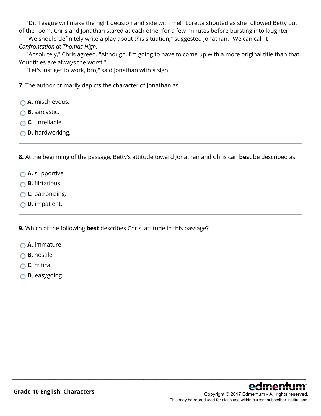"Dr. Teague will make the right decision and side with me!" Loretta shouted as she followed Betty out of the room. Chris and Jonathan stared at each other for a few minutes before bursting into laughter.

 "We should definitely write a play about this situation," suggested Jonathan. "We can call it *Confrontation at Thomas High.*"

 "Absolutely," Chris agreed. "Although, I'm going to have to come up with a more original title than that. Your titles are always the worst."

"Let's just get to work, bro," said Jonathan with a sigh.

**7.** The author primarily depicts the character of Jonathan as

- **A.** mischievous.
- **B.** sarcastic.
- **C.** unreliable.
- **D.** hardworking.

**8.** At the beginning of the passage, Betty's attitude toward Jonathan and Chris can **best** be described as

\_\_\_\_\_\_\_\_\_\_\_\_\_\_\_\_\_\_\_\_\_\_\_\_\_\_\_\_\_\_\_\_\_\_\_\_\_\_\_\_\_\_\_\_\_\_\_\_\_\_\_\_\_\_\_\_\_\_\_\_\_\_\_\_\_\_\_\_\_\_\_\_\_\_\_\_\_\_\_\_\_\_\_\_\_\_\_\_\_\_\_\_\_\_\_\_\_\_\_\_\_\_\_\_\_\_\_\_\_\_\_\_

- **△A.** supportive.
- **B.** flirtatious.
- **C.** patronizing.
- **D.** impatient.

**9.** Which of the following **best** describes Chris' attitude in this passage?

- **A.** immature
- **B.** hostile
- **C.** critical
- **D.** easygoing

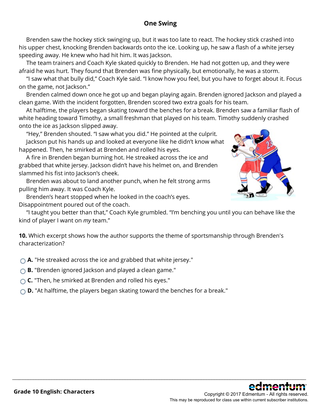### **One Swing**

 Brenden saw the hockey stick swinging up, but it was too late to react. The hockey stick crashed into his upper chest, knocking Brenden backwards onto the ice. Looking up, he saw a flash of a white jersey speeding away. He knew who had hit him. It was Jackson.

 The team trainers and Coach Kyle skated quickly to Brenden. He had not gotten up, and they were afraid he was hurt. They found that Brenden was fine physically, but emotionally, he was a storm.

 "I saw what that bully did," Coach Kyle said. "I know how you feel, but you have to forget about it. Focus on the game, not Jackson."

 Brenden calmed down once he got up and began playing again. Brenden ignored Jackson and played a clean game. With the incident forgotten, Brenden scored two extra goals for his team.

 At halftime, the players began skating toward the benches for a break. Brenden saw a familiar flash of white heading toward Timothy, a small freshman that played on his team. Timothy suddenly crashed onto the ice as Jackson slipped away.

 "Hey," Brenden shouted. "I saw what you did." He pointed at the culprit. Jackson put his hands up and looked at everyone like he didn't know what happened. Then, he smirked at Brenden and rolled his eyes.

 A fire in Brenden began burning hot. He streaked across the ice and grabbed that white jersey. Jackson didn't have his helmet on, and Brenden slammed his fist into Jackson's cheek.

 Brenden was about to land another punch, when he felt strong arms pulling him away. It was Coach Kyle.

 Brenden's heart stopped when he looked in the coach's eyes. Disappointment poured out of the coach.



 "I taught you better than that," Coach Kyle grumbled. "I'm benching you until you can behave like the kind of player I want on *my* team."

\_\_\_\_\_\_\_\_\_\_\_\_\_\_\_\_\_\_\_\_\_\_\_\_\_\_\_\_\_\_\_\_\_\_\_\_\_\_\_\_\_\_\_\_\_\_\_\_\_\_\_\_\_\_\_\_\_\_\_\_\_\_\_\_\_\_\_\_\_\_\_\_\_\_\_\_\_\_\_\_\_\_\_\_\_\_\_\_\_\_\_\_\_\_\_\_\_\_\_\_\_\_\_\_\_\_\_\_\_\_\_\_

**10.** Which excerpt shows how the author supports the theme of sportsmanship through Brenden's characterization?

**A.** "He streaked across the ice and grabbed that white jersey."

**B.** "Brenden ignored Jackson and played a clean game."

**C.** "Then, he smirked at Brenden and rolled his eyes."

**D.** "At halftime, the players began skating toward the benches for a break."

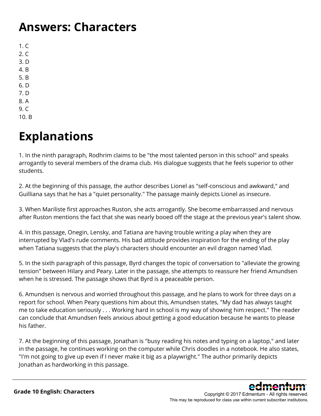## **Answers: Characters**

 $1. C$  $2. C$ 3. D 4. B 5. B 6. D 7. D 8. A 9. C

10. B

# **Explanations**

1. In the ninth paragraph, Rodhrim claims to be "the most talented person in this school" and speaks arrogantly to several members of the drama club. His dialogue suggests that he feels superior to other students.

2. At the beginning of this passage, the author describes Lionel as "self-conscious and awkward," and Guilliana says that he has a "quiet personality." The passage mainly depicts Lionel as insecure.

3. When Mariliste first approaches Ruston, she acts arrogantly. She become embarrassed and nervous after Ruston mentions the fact that she was nearly booed off the stage at the previous year's talent show.

4. In this passage, Onegin, Lensky, and Tatiana are having trouble writing a play when they are interrupted by Vlad's rude comments. His bad attitude provides inspiration for the ending of the play when Tatiana suggests that the play's characters should encounter an evil dragon named Vlad.

5. In the sixth paragraph of this passage, Byrd changes the topic of conversation to "alleviate the growing tension" between Hilary and Peary. Later in the passage, she attempts to reassure her friend Amundsen when he is stressed. The passage shows that Byrd is a peaceable person.

6. Amundsen is nervous and worried throughout this passage, and he plans to work for three days on a report for school. When Peary questions him about this, Amundsen states, "My dad has always taught me to take education seriously . . . Working hard in school is my way of showing him respect." The reader can conclude that Amundsen feels anxious about getting a good education because he wants to please his father.

7. At the beginning of this passage, Jonathan is "busy reading his notes and typing on a laptop," and later in the passage, he continues working on the computer while Chris doodles in a notebook. He also states, "I'm not going to give up even if I never make it big as a playwright." The author primarily depicts Jonathan as hardworking in this passage.

\_\_\_\_\_\_\_\_\_\_\_\_\_\_\_\_\_\_\_\_\_\_\_\_\_\_\_\_\_\_\_\_\_\_\_\_\_\_\_\_\_\_\_\_\_\_\_\_\_\_\_\_\_\_\_\_\_\_\_\_\_\_\_\_\_\_\_\_\_\_\_\_\_\_\_\_\_\_\_\_\_\_\_\_\_\_\_\_\_\_\_\_\_\_\_\_\_\_\_\_\_\_\_\_\_\_\_\_\_\_\_\_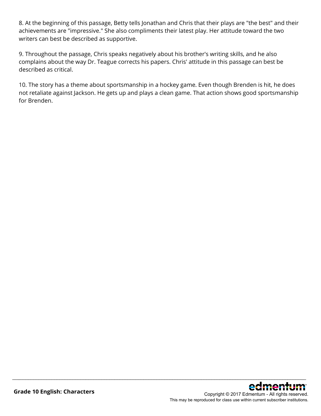8. At the beginning of this passage, Betty tells Jonathan and Chris that their plays are "the best" and their achievements are "impressive." She also compliments their latest play. Her attitude toward the two writers can best be described as supportive.

9. Throughout the passage, Chris speaks negatively about his brother's writing skills, and he also complains about the way Dr. Teague corrects his papers. Chris' attitude in this passage can best be described as critical.

10. The story has a theme about sportsmanship in a hockey game. Even though Brenden is hit, he does not retaliate against Jackson. He gets up and plays a clean game. That action shows good sportsmanship for Brenden.

\_\_\_\_\_\_\_\_\_\_\_\_\_\_\_\_\_\_\_\_\_\_\_\_\_\_\_\_\_\_\_\_\_\_\_\_\_\_\_\_\_\_\_\_\_\_\_\_\_\_\_\_\_\_\_\_\_\_\_\_\_\_\_\_\_\_\_\_\_\_\_\_\_\_\_\_\_\_\_\_\_\_\_\_\_\_\_\_\_\_\_\_\_\_\_\_\_\_\_\_\_\_\_\_\_\_\_\_\_\_\_\_

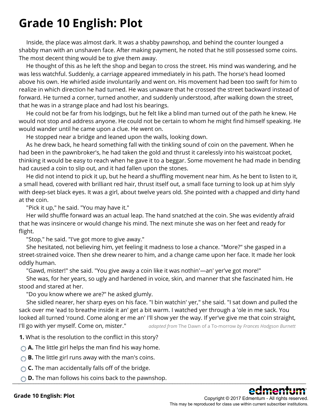## **Grade 10 English: Plot**

 Inside, the place was almost dark. It was a shabby pawnshop, and behind the counter lounged a shabby man with an unshaven face. After making payment, he noted that he still possessed some coins. The most decent thing would be to give them away.

 He thought of this as he left the shop and began to cross the street. His mind was wandering, and he was less watchful. Suddenly, a carriage appeared immediately in his path. The horse's head loomed above his own. He whirled aside involuntarily and went on. His movement had been too swift for him to realize in which direction he had turned. He was unaware that he crossed the street backward instead of forward. He turned a corner, turned another, and suddenly understood, after walking down the street, that he was in a strange place and had lost his bearings.

 He could not be far from his lodgings, but he felt like a blind man turned out of the path he knew. He would not stop and address anyone. He could not be certain to whom he might find himself speaking. He would wander until he came upon a clue. He went on.

He stopped near a bridge and leaned upon the walls, looking down.

 As he drew back, he heard something fall with the tinkling sound of coin on the pavement. When he had been in the pawnbroker's, he had taken the gold and thrust it carelessly into his waistcoat pocket, thinking it would be easy to reach when he gave it to a beggar. Some movement he had made in bending had caused a coin to slip out, and it had fallen upon the stones.

 He did not intend to pick it up, but he heard a shuffling movement near him. As he bent to listen to it, a small head, covered with brilliant red hair, thrust itself out, a small face turning to look up at him slyly with deep-set black eyes. It was a girl, about twelve years old. She pointed with a chapped and dirty hand at the coin.

"Pick it up," he said. "You may have it."

 Her wild shuffle forward was an actual leap. The hand snatched at the coin. She was evidently afraid that he was insincere or would change his mind. The next minute she was on her feet and ready for flight.

"Stop," he said. "I've got more to give away."

 She hesitated, not believing him, yet feeling it madness to lose a chance. "More?" she gasped in a street-strained voice. Then she drew nearer to him, and a change came upon her face. It made her look oddly human.

"Gawd, mister!" she said. "You give away a coin like it was nothin'—an' yer've got more!"

 She was, for her years, so ugly and hardened in voice, skin, and manner that she fascinated him. He stood and stared at her.

"Do you know where we are?" he asked glumly.

 She sidled nearer, her sharp eyes on his face. "I bin watchin' yer," she said. "I sat down and pulled the sack over me 'ead to breathe inside it an' get a bit warm. I watched yer through a 'ole in me sack. You looked all turned 'round. Come along er me an' I'll show yer the way. If yer've give me that coin straight, I'll go with yer myself. Come on, mister." *adapted from* The Dawn of a To-morrow *by Frances Hodgson Burnett*

**1.** What is the resolution to the conflict in this story?

**A.** The little girl helps the man find his way home.

**B.** The little girl runs away with the man's coins.

**C.** The man accidentally falls off of the bridge.

 $\bigcirc$  **D.** The man follows his coins back to the pawnshop.

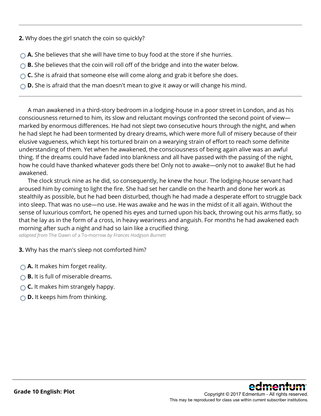**2.** Why does the girl snatch the coin so quickly?

- **A.** She believes that she will have time to buy food at the store if she hurries.
- **B.** She believes that the coin will roll off of the bridge and into the water below.
- ◯ **C.** She is afraid that someone else will come along and grab it before she does.
- **D.** She is afraid that the man doesn't mean to give it away or will change his mind.

 A man awakened in a third-story bedroom in a lodging-house in a poor street in London, and as his consciousness returned to him, its slow and reluctant movings confronted the second point of view marked by enormous differences. He had not slept two consecutive hours through the night, and when he had slept he had been tormented by dreary dreams, which were more full of misery because of their elusive vagueness, which kept his tortured brain on a wearying strain of effort to reach some definite understanding of them. Yet when he awakened, the consciousness of being again alive was an awful thing. If the dreams could have faded into blankness and all have passed with the passing of the night, how he could have thanked whatever gods there be! Only not to awake—only not to awake! But he had awakened.

 The clock struck nine as he did, so consequently, he knew the hour. The lodging-house servant had aroused him by coming to light the fire. She had set her candle on the hearth and done her work as stealthily as possible, but he had been disturbed, though he had made a desperate effort to struggle back into sleep. That was no use—no use. He was awake and he was in the midst of it all again. Without the sense of luxurious comfort, he opened his eyes and turned upon his back, throwing out his arms flatly, so that he lay as in the form of a cross, in heavy weariness and anguish. For months he had awakened each morning after such a night and had so lain like a crucified thing.

\_\_\_\_\_\_\_\_\_\_\_\_\_\_\_\_\_\_\_\_\_\_\_\_\_\_\_\_\_\_\_\_\_\_\_\_\_\_\_\_\_\_\_\_\_\_\_\_\_\_\_\_\_\_\_\_\_\_\_\_\_\_\_\_\_\_\_\_\_\_\_\_\_\_\_\_\_\_\_\_\_\_\_\_\_\_\_\_\_\_\_\_\_\_\_\_\_\_\_\_\_\_\_\_\_\_\_\_\_\_\_\_

*adapted from* The Dawn of a To-morrow *by Frances Hodgson Burnett*

**3.** Why has the man's sleep not comforted him?

- **A.** It makes him forget reality.
- **B.** It is full of miserable dreams.
- **C.** It makes him strangely happy.
- **D.** It keeps him from thinking.

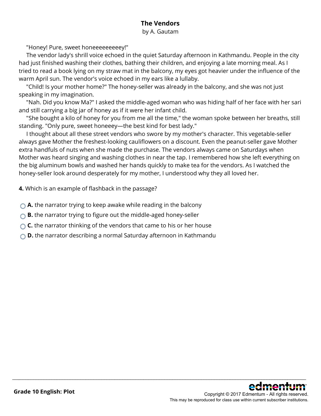## **The Vendors**

by A. Gautam

"Honey! Pure, sweet honeeeeeeeeey!"

 The vendor lady's shrill voice echoed in the quiet Saturday afternoon in Kathmandu. People in the city had just finished washing their clothes, bathing their children, and enjoying a late morning meal. As I tried to read a book lying on my straw mat in the balcony, my eyes got heavier under the influence of the warm April sun. The vendor's voice echoed in my ears like a lullaby.

 "Child! Is your mother home?" The honey-seller was already in the balcony, and she was not just speaking in my imagination.

 "Nah. Did you know Ma?" I asked the middle-aged woman who was hiding half of her face with her sari and still carrying a big jar of honey as if it were her infant child.

 "She bought a kilo of honey for you from me all the time," the woman spoke between her breaths, still standing. "Only pure, sweet honeeey—the best kind for best lady."

 I thought about all these street vendors who swore by my mother's character. This vegetable-seller always gave Mother the freshest-looking cauliflowers on a discount. Even the peanut-seller gave Mother extra handfuls of nuts when she made the purchase. The vendors always came on Saturdays when Mother was heard singing and washing clothes in near the tap. I remembered how she left everything on the big aluminum bowls and washed her hands quickly to make tea for the vendors. As I watched the honey-seller look around desperately for my mother, I understood why they all loved her.

\_\_\_\_\_\_\_\_\_\_\_\_\_\_\_\_\_\_\_\_\_\_\_\_\_\_\_\_\_\_\_\_\_\_\_\_\_\_\_\_\_\_\_\_\_\_\_\_\_\_\_\_\_\_\_\_\_\_\_\_\_\_\_\_\_\_\_\_\_\_\_\_\_\_\_\_\_\_\_\_\_\_\_\_\_\_\_\_\_\_\_\_\_\_\_\_\_\_\_\_\_\_\_\_\_\_\_\_\_\_\_\_

**4.** Which is an example of flashback in the passage?

- **A.** the narrator trying to keep awake while reading in the balcony
- **B.** the narrator trying to figure out the middle-aged honey-seller
- **C.** the narrator thinking of the vendors that came to his or her house
- **D.** the narrator describing a normal Saturday afternoon in Kathmandu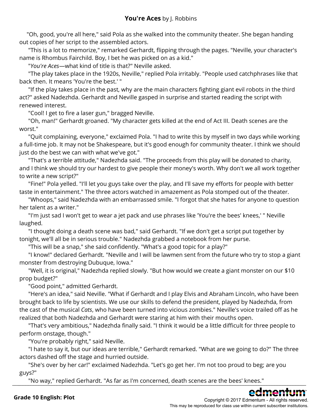"Oh, good, you're all here," said Pola as she walked into the community theater. She began handing out copies of her script to the assembled actors.

 "This is a lot to memorize," remarked Gerhardt, flipping through the pages. "Neville, your character's name is Rhombus Fairchild. Boy, I bet he was picked on as a kid."

"*You're Aces*—what kind of title is that?" Neville asked.

 "The play takes place in the 1920s, Neville," replied Pola irritably. "People used catchphrases like that back then. It means 'You're the best.' "

"If the play takes place in the past, why are the main characters fighting giant evil robots in the third act?" asked Nadezhda. Gerhardt and Neville gasped in surprise and started reading the script with renewed interest.

"Cool! I get to fire a laser gun," bragged Neville.

 "Oh, man!" Gerhardt groaned. "My character gets killed at the end of Act III. Death scenes are the worst."

"Quit complaining, everyone," exclaimed Pola. "I had to write this by myself in two days while working a full-time job. It may not be Shakespeare, but it's good enough for community theater. I think we should just do the best we can with what we've got."

 "That's a terrible attitude," Nadezhda said. "The proceeds from this play will be donated to charity, and I think we should try our hardest to give people their money's worth. Why don't we all work together to write a new script?"

 "Fine!" Pola yelled. "I'll let you guys take over the play, and I'll save my efforts for people with better taste in entertainment." The three actors watched in amazement as Pola stomped out of the theater.

 "Whoops," said Nadezhda with an embarrassed smile. "I forgot that she hates for anyone to question her talent as a writer."

 "I'm just sad I won't get to wear a jet pack and use phrases like 'You're the bees' knees,' " Neville laughed.

 "I thought doing a death scene was bad," said Gerhardt. "If we don't get a script put together by tonight, we'll all be in serious trouble." Nadezhda grabbed a notebook from her purse.

"This will be a snap," she said confidently. "What's a good topic for a play?"

 "I know!" declared Gerhardt. "Neville and I will be lawmen sent from the future who try to stop a giant monster from destroying Dubuque, Iowa."

"Well, it is original," Nadezhda replied slowly. "But how would we create a giant monster on our \$10 prop budget?"

"Good point," admitted Gerhardt.

 "Here's an idea," said Neville. "What if Gerhardt and I play Elvis and Abraham Lincoln, who have been brought back to life by scientists. We use our skills to defend the president, played by Nadezhda, from the cast of the musical *Cats*, who have been turned into vicious zombies." Neville's voice trailed off as he realized that both Nadezhda and Gerhardt were staring at him with their mouths open.

"That's very ambitious," Nadezhda finally said. "I think it would be a little difficult for three people to perform onstage, though."

"You're probably right," said Neville.

 "I hate to say it, but our ideas are terrible," Gerhardt remarked. "What are we going to do?" The three actors dashed off the stage and hurried outside.

"She's over by her car!" exclaimed Nadezhda. "Let's go get her. I'm not too proud to beg; are you guys?"

"No way," replied Gerhardt. "As far as I'm concerned, death scenes are the bees' knees." \_\_\_\_\_\_\_\_\_\_\_\_\_\_\_\_\_\_\_\_\_\_\_\_\_\_\_\_\_\_\_\_\_\_\_\_\_\_\_\_\_\_\_\_\_\_\_\_\_\_\_\_\_\_\_\_\_\_\_\_\_\_\_\_\_\_\_\_\_\_\_\_\_\_\_\_\_\_\_\_\_\_\_\_\_\_\_\_\_\_\_\_\_\_\_\_\_\_\_\_\_\_\_\_\_\_\_\_\_\_\_\_

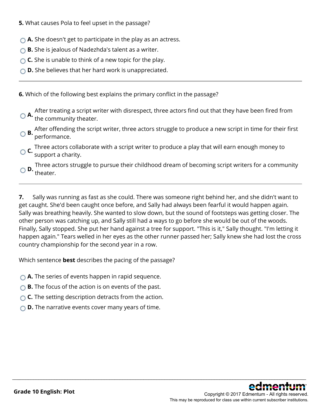**5.** What causes Pola to feel upset in the passage?

- **A.** She doesn't get to participate in the play as an actress.
- **B.** She is jealous of Nadezhda's talent as a writer.
- **C.** She is unable to think of a new topic for the play.
- **D.** She believes that her hard work is unappreciated.

**6.** Which of the following best explains the primary conflict in the passage?

**A.** After treating a script writer with disrespect, three actors find out that they have been fired from the community theater.

- **B.** After offending the script writer, three actors struggle to produce a new script in time for their first  $\bigcirc$ performance.
- **C.** Three actors collaborate with a script writer to produce a play that will earn enough money to support a charity.

**D.** Three actors struggle to pursue their childhood dream of becoming script writers for a community theater.

**7.** Sally was running as fast as she could. There was someone right behind her, and she didn't want to get caught. She'd been caught once before, and Sally had always been fearful it would happen again. Sally was breathing heavily. She wanted to slow down, but the sound of footsteps was getting closer. The other person was catching up, and Sally still had a ways to go before she would be out of the woods. Finally, Sally stopped. She put her hand against a tree for support. "This is it," Sally thought. "I'm letting it happen again." Tears welled in her eyes as the other runner passed her; Sally knew she had lost the cross country championship for the second year in a row.

\_\_\_\_\_\_\_\_\_\_\_\_\_\_\_\_\_\_\_\_\_\_\_\_\_\_\_\_\_\_\_\_\_\_\_\_\_\_\_\_\_\_\_\_\_\_\_\_\_\_\_\_\_\_\_\_\_\_\_\_\_\_\_\_\_\_\_\_\_\_\_\_\_\_\_\_\_\_\_\_\_\_\_\_\_\_\_\_\_\_\_\_\_\_\_\_\_\_\_\_\_\_\_\_\_\_\_\_\_\_\_\_

Which sentence **best** describes the pacing of the passage?

- **A.** The series of events happen in rapid sequence.
- **B.** The focus of the action is on events of the past.
- **C.** The setting description detracts from the action.
- **D.** The narrative events cover many years of time.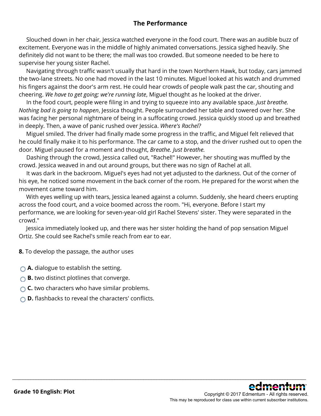### **The Performance**

 Slouched down in her chair, Jessica watched everyone in the food court. There was an audible buzz of excitement. Everyone was in the middle of highly animated conversations. Jessica sighed heavily. She definitely did not want to be there; the mall was too crowded. But someone needed to be here to supervise her young sister Rachel.

 Navigating through traffic wasn't usually that hard in the town Northern Hawk, but today, cars jammed the two-lane streets. No one had moved in the last 10 minutes. Miguel looked at his watch and drummed his fingers against the door's arm rest. He could hear crowds of people walk past the car, shouting and cheering. *We have to get going; we're running late*, Miguel thought as he looked at the driver.

 In the food court, people were filing in and trying to squeeze into any available space. *Just breathe. Nothing bad is going to happen*, Jessica thought. People surrounded her table and towered over her. She was facing her personal nightmare of being in a suffocating crowd. Jessica quickly stood up and breathed in deeply. Then, a wave of panic rushed over Jessica. *Where's Rachel?*

 Miguel smiled. The driver had finally made some progress in the traffic, and Miguel felt relieved that he could finally make it to his performance. The car came to a stop, and the driver rushed out to open the door. Miguel paused for a moment and thought, *Breathe. Just breathe.*

 Dashing through the crowd, Jessica called out, "Rachel!" However, her shouting was muffled by the crowd. Jessica weaved in and out around groups, but there was no sign of Rachel at all.

 It was dark in the backroom. Miguel's eyes had not yet adjusted to the darkness. Out of the corner of his eye, he noticed some movement in the back corner of the room. He prepared for the worst when the movement came toward him.

With eyes welling up with tears, Jessica leaned against a column. Suddenly, she heard cheers erupting across the food court, and a voice boomed across the room. "Hi, everyone. Before I start my performance, we are looking for seven-year-old girl Rachel Stevens' sister. They were separated in the crowd."

 Jessica immediately looked up, and there was her sister holding the hand of pop sensation Miguel Ortiz. She could see Rachel's smile reach from ear to ear.

\_\_\_\_\_\_\_\_\_\_\_\_\_\_\_\_\_\_\_\_\_\_\_\_\_\_\_\_\_\_\_\_\_\_\_\_\_\_\_\_\_\_\_\_\_\_\_\_\_\_\_\_\_\_\_\_\_\_\_\_\_\_\_\_\_\_\_\_\_\_\_\_\_\_\_\_\_\_\_\_\_\_\_\_\_\_\_\_\_\_\_\_\_\_\_\_\_\_\_\_\_\_\_\_\_\_\_\_\_\_\_\_

**8.** To develop the passage, the author uses

- **A.** dialogue to establish the setting.
- **B.** two distinct plotlines that converge.
- **C.** two characters who have similar problems.
- **D.** flashbacks to reveal the characters' conflicts.

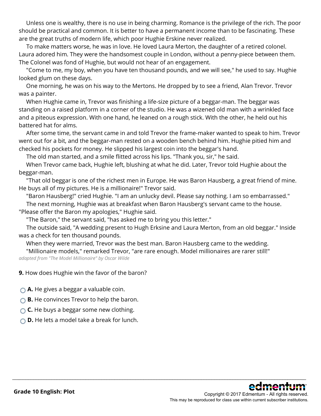Unless one is wealthy, there is no use in being charming. Romance is the privilege of the rich. The poor should be practical and common. It is better to have a permanent income than to be fascinating. These are the great truths of modern life, which poor Hughie Erskine never realized.

 To make matters worse, he was in love. He loved Laura Merton, the daughter of a retired colonel. Laura adored him. They were the handsomest couple in London, without a penny-piece between them. The Colonel was fond of Hughie, but would not hear of an engagement.

 "Come to me, my boy, when you have ten thousand pounds, and we will see," he used to say. Hughie looked glum on these days.

 One morning, he was on his way to the Mertons. He dropped by to see a friend, Alan Trevor. Trevor was a painter.

 When Hughie came in, Trevor was finishing a life-size picture of a beggar-man. The beggar was standing on a raised platform in a corner of the studio. He was a wizened old man with a wrinkled face and a piteous expression. With one hand, he leaned on a rough stick. With the other, he held out his battered hat for alms.

 After some time, the servant came in and told Trevor the frame-maker wanted to speak to him. Trevor went out for a bit, and the beggar-man rested on a wooden bench behind him. Hughie pitied him and checked his pockets for money. He slipped his largest coin into the beggar's hand.

The old man started, and a smile flitted across his lips. "Thank you, sir," he said.

 When Trevor came back, Hughie left, blushing at what he did. Later, Trevor told Hughie about the beggar-man.

 "That old beggar is one of the richest men in Europe. He was Baron Hausberg, a great friend of mine. He buys all of my pictures. He is a millionaire!" Trevor said.

"Baron Hausberg!" cried Hughie. "I am an unlucky devil. Please say nothing. I am so embarrassed." The next morning, Hughie was at breakfast when Baron Hausberg's servant came to the house. "Please offer the Baron my apologies," Hughie said.

"The Baron," the servant said, "has asked me to bring you this letter."

 The outside said, "A wedding present to Hugh Erksine and Laura Merton, from an old beggar." Inside was a check for ten thousand pounds.

\_\_\_\_\_\_\_\_\_\_\_\_\_\_\_\_\_\_\_\_\_\_\_\_\_\_\_\_\_\_\_\_\_\_\_\_\_\_\_\_\_\_\_\_\_\_\_\_\_\_\_\_\_\_\_\_\_\_\_\_\_\_\_\_\_\_\_\_\_\_\_\_\_\_\_\_\_\_\_\_\_\_\_\_\_\_\_\_\_\_\_\_\_\_\_\_\_\_\_\_\_\_\_\_\_\_\_\_\_\_\_\_

When they were married, Trevor was the best man. Baron Hausberg came to the wedding.

 "Millionaire models," remarked Trevor, "are rare enough. Model millionaires are rarer still!" *adapted from "The Model Millionaire" by Oscar Wilde*

**9.** How does Hughie win the favor of the baron?

**A.** He gives a beggar a valuable coin.

**B.** He convinces Trevor to help the baron.

**C.** He buys a beggar some new clothing.

**D.** He lets a model take a break for lunch.

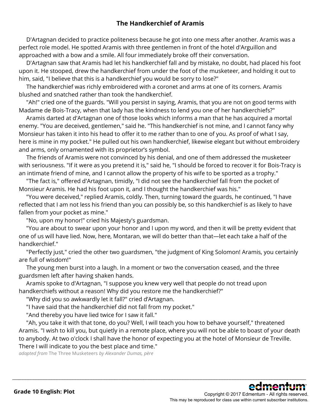### **The Handkerchief of Aramis**

 D'Artagnan decided to practice politeness because he got into one mess after another. Aramis was a perfect role model. He spotted Aramis with three gentlemen in front of the hotel d'Arguillon and approached with a bow and a smile. All four immediately broke off their conversation.

 D'Artagnan saw that Aramis had let his handkerchief fall and by mistake, no doubt, had placed his foot upon it. He stooped, drew the handkerchief from under the foot of the musketeer, and holding it out to him, said, "I believe that this is a handkerchief you would be sorry to lose?"

 The handkerchief was richly embroidered with a coronet and arms at one of its corners. Aramis blushed and snatched rather than took the handkerchief.

 "Ah!" cried one of the guards. "Will you persist in saying, Aramis, that you are not on good terms with Madame de Bois-Tracy, when that lady has the kindness to lend you one of her handkerchiefs?"

 Aramis darted at d'Artagnan one of those looks which informs a man that he has acquired a mortal enemy. "You are deceived, gentlemen," said he. "This handkerchief is not mine, and I cannot fancy why Monsieur has taken it into his head to offer it to me rather than to one of you. As proof of what I say, here is mine in my pocket." He pulled out his own handkerchief, likewise elegant but without embroidery and arms, only ornamented with its proprietor's symbol.

 The friends of Aramis were not convinced by his denial, and one of them addressed the musketeer with seriousness. "If it were as you pretend it is," said he, "I should be forced to recover it for Bois-Tracy is an intimate friend of mine, and I cannot allow the property of his wife to be sported as a trophy."

 "The fact is," offered d'Artagnan, timidly, "I did not see the handkerchief fall from the pocket of Monsieur Aramis. He had his foot upon it, and I thought the handkerchief was his."

 "You were deceived," replied Aramis, coldly. Then, turning toward the guards, he continued, "I have reflected that I am not less his friend than you can possibly be, so this handkerchief is as likely to have fallen from your pocket as mine."

"No, upon my honor!" cried his Majesty's guardsman.

 "You are about to swear upon your honor and I upon my word, and then it will be pretty evident that one of us will have lied. Now, here, Montaran, we will do better than that—let each take a half of the handkerchief."

 "Perfectly just," cried the other two guardsmen, "the judgment of King Solomon! Aramis, you certainly are full of wisdom!"

 The young men burst into a laugh. In a moment or two the conversation ceased, and the three guardsmen left after having shaken hands.

 Aramis spoke to d'Artagnan, "I suppose you knew very well that people do not tread upon handkerchiefs without a reason! Why did you restore me the handkerchief?"

"Why did you so awkwardly let it fall?" cried d'Artagnan.

"I have said that the handkerchief did not fall from my pocket."

"And thereby you have lied twice for I saw it fall."

 "Ah, you take it with that tone, do you? Well, I will teach you how to behave yourself," threatened Aramis. "I wish to kill you, but quietly in a remote place, where you will not be able to boast of your death to anybody. At two o'clock I shall have the honor of expecting you at the hotel of Monsieur de Treville. There I will indicate to you the best place and time."

\_\_\_\_\_\_\_\_\_\_\_\_\_\_\_\_\_\_\_\_\_\_\_\_\_\_\_\_\_\_\_\_\_\_\_\_\_\_\_\_\_\_\_\_\_\_\_\_\_\_\_\_\_\_\_\_\_\_\_\_\_\_\_\_\_\_\_\_\_\_\_\_\_\_\_\_\_\_\_\_\_\_\_\_\_\_\_\_\_\_\_\_\_\_\_\_\_\_\_\_\_\_\_\_\_\_\_\_\_\_\_\_

*adapted from* The Three Musketeers *by Alexander Dumas, père*

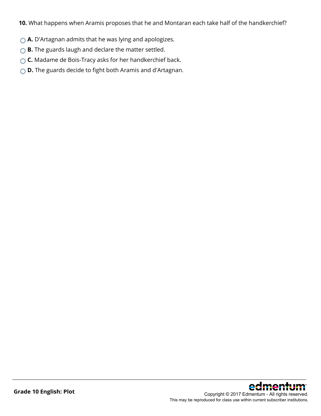**10.** What happens when Aramis proposes that he and Montaran each take half of the handkerchief?

\_\_\_\_\_\_\_\_\_\_\_\_\_\_\_\_\_\_\_\_\_\_\_\_\_\_\_\_\_\_\_\_\_\_\_\_\_\_\_\_\_\_\_\_\_\_\_\_\_\_\_\_\_\_\_\_\_\_\_\_\_\_\_\_\_\_\_\_\_\_\_\_\_\_\_\_\_\_\_\_\_\_\_\_\_\_\_\_\_\_\_\_\_\_\_\_\_\_\_\_\_\_\_\_\_\_\_\_\_\_\_\_

- **A.** D'Artagnan admits that he was lying and apologizes.
- **B.** The guards laugh and declare the matter settled.
- **C.** Madame de Bois-Tracy asks for her handkerchief back.
- **D.** The guards decide to fight both Aramis and d'Artagnan.

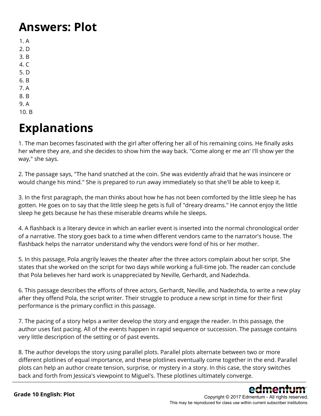## **Answers: Plot**

- 1. A 2. D 3. B 4. C 5. D 6. B 7. A 8. B 9. A
- 10. B

# **Explanations**

1. The man becomes fascinated with the girl after offering her all of his remaining coins. He finally asks her where they are, and she decides to show him the way back. "Come along er me an' I'll show yer the way," she says.

2. The passage says, "The hand snatched at the coin. She was evidently afraid that he was insincere or would change his mind." She is prepared to run away immediately so that she'll be able to keep it.

3. In the first paragraph, the man thinks about how he has not been comforted by the little sleep he has gotten. He goes on to say that the little sleep he gets is full of "dreary dreams." He cannot enjoy the little sleep he gets because he has these miserable dreams while he sleeps.

4. A flashback is a literary device in which an earlier event is inserted into the normal chronological order of a narrative. The story goes back to a time when different vendors came to the narrator's house. The flashback helps the narrator understand why the vendors were fond of his or her mother.

5. In this passage, Pola angrily leaves the theater after the three actors complain about her script. She states that she worked on the script for two days while working a full-time job. The reader can conclude that Pola believes her hard work is unappreciated by Neville, Gerhardt, and Nadezhda.

6. This passage describes the efforts of three actors, Gerhardt, Neville, and Nadezhda, to write a new play after they offend Pola, the script writer. Their struggle to produce a new script in time for their first performance is the primary conflict in this passage.

7. The pacing of a story helps a writer develop the story and engage the reader. In this passage, the author uses fast pacing. All of the events happen in rapid sequence or succession. The passage contains very little description of the setting or of past events.

8. The author develops the story using parallel plots. Parallel plots alternate between two or more different plotlines of equal importance, and these plotlines eventually come together in the end. Parallel plots can help an author create tension, surprise, or mystery in a story. In this case, the story switches back and forth from Jessica's viewpoint to Miguel's. These plotlines ultimately converge.  $\Box$ 

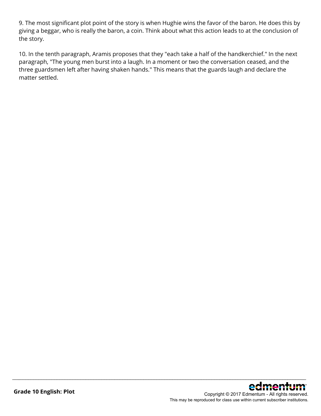9. The most significant plot point of the story is when Hughie wins the favor of the baron. He does this by giving a beggar, who is really the baron, a coin. Think about what this action leads to at the conclusion of the story.

10. In the tenth paragraph, Aramis proposes that they "each take a half of the handkerchief." In the next paragraph, "The young men burst into a laugh. In a moment or two the conversation ceased, and the three guardsmen left after having shaken hands." This means that the guards laugh and declare the matter settled.

\_\_\_\_\_\_\_\_\_\_\_\_\_\_\_\_\_\_\_\_\_\_\_\_\_\_\_\_\_\_\_\_\_\_\_\_\_\_\_\_\_\_\_\_\_\_\_\_\_\_\_\_\_\_\_\_\_\_\_\_\_\_\_\_\_\_\_\_\_\_\_\_\_\_\_\_\_\_\_\_\_\_\_\_\_\_\_\_\_\_\_\_\_\_\_\_\_\_\_\_\_\_\_\_\_\_\_\_\_\_\_\_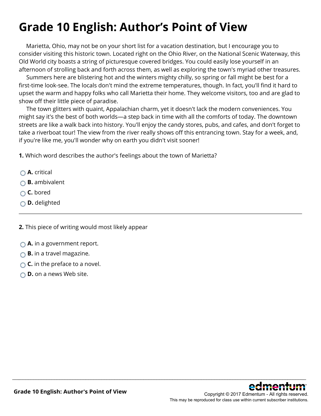# **Grade 10 English: Author's Point of View**

 Marietta, Ohio, may not be on your short list for a vacation destination, but I encourage you to consider visiting this historic town. Located right on the Ohio River, on the National Scenic Waterway, this Old World city boasts a string of picturesque covered bridges. You could easily lose yourself in an afternoon of strolling back and forth across them, as well as exploring the town's myriad other treasures.

 Summers here are blistering hot and the winters mighty chilly, so spring or fall might be best for a first-time look-see. The locals don't mind the extreme temperatures, though. In fact, you'll find it hard to upset the warm and happy folks who call Marietta their home. They welcome visitors, too and are glad to show off their little piece of paradise.

 The town glitters with quaint, Appalachian charm, yet it doesn't lack the modern conveniences. You might say it's the best of both worlds—a step back in time with all the comforts of today. The downtown streets are like a walk back into history. You'll enjoy the candy stores, pubs, and cafes, and don't forget to take a riverboat tour! The view from the river really shows off this entrancing town. Stay for a week, and, if you're like me, you'll wonder why on earth you didn't visit sooner!

\_\_\_\_\_\_\_\_\_\_\_\_\_\_\_\_\_\_\_\_\_\_\_\_\_\_\_\_\_\_\_\_\_\_\_\_\_\_\_\_\_\_\_\_\_\_\_\_\_\_\_\_\_\_\_\_\_\_\_\_\_\_\_\_\_\_\_\_\_\_\_\_\_\_\_\_\_\_\_\_\_\_\_\_\_\_\_\_\_\_\_\_\_\_\_\_\_\_\_\_\_\_\_\_\_\_\_\_\_\_\_\_

**1.** Which word describes the author's feelings about the town of Marietta?

- **A.** critical
- **B.** ambivalent
- **C.** bored
- **D.** delighted
- **2.** This piece of writing would most likely appear
- **A.** in a government report.
- **B.** in a travel magazine.
- **C.** in the preface to a novel.
- **D.** on a news Web site.

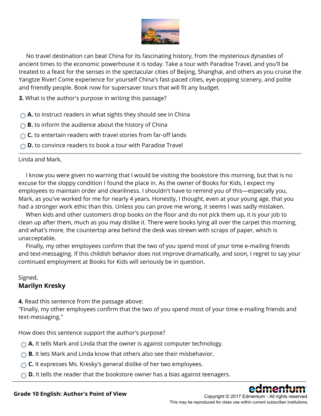

 No travel destination can beat China for its fascinating history, from the mysterious dynasties of ancient times to the economic powerhouse it is today. Take a tour with Paradise Travel, and you'll be treated to a feast for the senses in the spectacular cities of Beijing, Shanghai, and others as you cruise the Yangtze River! Come experience for yourself China's fast-paced cities, eye-popping scenery, and polite and friendly people. Book now for supersaver tours that will fit any budget.

**3.** What is the author's purpose in writing this passage?

- **A.** to instruct readers in what sights they should see in China
- **B.** to inform the audience about the history of China
- **C.** to entertain readers with travel stories from far-off lands
- **D.** to convince readers to book a tour with Paradise Travel

#### Linda and Mark,

 I know you were given no warning that I would be visiting the bookstore this morning, but that is no excuse for the sloppy condition I found the place in. As the owner of Books for Kids, I expect my employees to maintain order and cleanliness. I shouldn't have to remind you of this—especially you, Mark, as you've worked for me for nearly 4 years. Honestly, I thought, even at your young age, that you had a stronger work ethic than this. Unless you can prove me wrong, it seems I was sadly mistaken.

 When kids and other customers drop books on the floor and do not pick them up, it is your job to clean up after them, much as you may dislike it. There were books lying all over the carpet this morning, and what's more, the countertop area behind the desk was strewn with scraps of paper, which is unacceptable.

 Finally, my other employees confirm that the two of you spend most of your time e-mailing friends and text-messaging. If this childish behavior does not improve dramatically, and soon, I regret to say your continued employment at Books for Kids will seriously be in question.

#### Signed, **Marilyn Kresky**

**4.** Read this sentence from the passage above:

"Finally, my other employees confirm that the two of you spend most of your time e-mailing friends and text-messaging."

How does this sentence support the author's purpose?

- **A.** It tells Mark and Linda that the owner is against computer technology.
- **B.** It lets Mark and Linda know that others also see their misbehavior.
- **C.** It expresses Ms. Kresky's general dislike of her two employees.
- **D.** It tells the reader that the bookstore owner has a bias against teenagers. \_\_\_\_\_\_\_\_\_\_\_\_\_\_\_\_\_\_\_\_\_\_\_\_\_\_\_\_\_\_\_\_\_\_\_\_\_\_\_\_\_\_\_\_\_\_\_\_\_\_\_\_\_\_\_\_\_\_\_\_\_\_\_\_\_\_\_\_\_\_\_\_\_\_\_\_\_\_\_\_\_\_\_\_\_\_\_\_\_\_\_\_\_\_\_\_\_\_\_\_\_\_\_\_\_\_\_\_\_\_\_\_



Copyright © 2017 Edmentum - All rights reserved. This may be reproduced for class use within current subscriber institutions.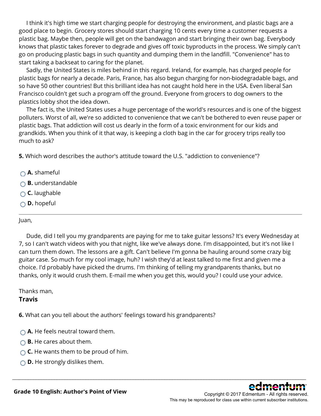I think it's high time we start charging people for destroying the environment, and plastic bags are a good place to begin. Grocery stores should start charging 10 cents every time a customer requests a plastic bag. Maybe then, people will get on the bandwagon and start bringing their own bag. Everybody knows that plastic takes forever to degrade and gives off toxic byproducts in the process. We simply can't go on producing plastic bags in such quantity and dumping them in the landfill. "Convenience" has to start taking a backseat to caring for the planet.

 Sadly, the United States is miles behind in this regard. Ireland, for example, has charged people for plastic bags for nearly a decade. Paris, France, has also begun charging for non-biodegradable bags, and so have 50 other countries! But this brilliant idea has not caught hold here in the USA. Even liberal San Francisco couldn't get such a program off the ground. Everyone from grocers to dog owners to the plastics lobby shot the idea down.

 The fact is, the United States uses a huge percentage of the world's resources and is one of the biggest polluters. Worst of all, we're so addicted to convenience that we can't be bothered to even reuse paper or plastic bags. That addiction will cost us dearly in the form of a toxic environment for our kids and grandkids. When you think of it that way, is keeping a cloth bag in the car for grocery trips really too much to ask?

**5.** Which word describes the author's attitude toward the U.S. "addiction to convenience"?

- **A.** shameful
- **B.** understandable
- **C.** laughable
- **D.** hopeful

#### Juan,

 Dude, did I tell you my grandparents are paying for me to take guitar lessons? It's every Wednesday at 7, so I can't watch videos with you that night, like we've always done. I'm disappointed, but it's not like I can turn them down. The lessons are a gift. Can't believe I'm gonna be hauling around some crazy big guitar case. So much for my cool image, huh? I wish they'd at least talked to me first and given me a choice. I'd probably have picked the drums. I'm thinking of telling my grandparents thanks, but no thanks, only it would crush them. E-mail me when you get this, would you? I could use your advice.

\_\_\_\_\_\_\_\_\_\_\_\_\_\_\_\_\_\_\_\_\_\_\_\_\_\_\_\_\_\_\_\_\_\_\_\_\_\_\_\_\_\_\_\_\_\_\_\_\_\_\_\_\_\_\_\_\_\_\_\_\_\_\_\_\_\_\_\_\_\_\_\_\_\_\_\_\_\_\_\_\_\_\_\_\_\_\_\_\_\_\_\_\_\_\_\_\_\_\_\_\_\_\_\_\_\_\_\_\_\_\_\_

Thanks man,

### **Travis**

**6.** What can you tell about the authors' feelings toward his grandparents?

- $\bigcap$  **A.** He feels neutral toward them.
- **B.** He cares about them.
- **C.** He wants them to be proud of him.
- **D.** He strongly dislikes them.



Copyright © 2017 Edmentum - All rights reserved. This may be reproduced for class use within current subscriber institutions.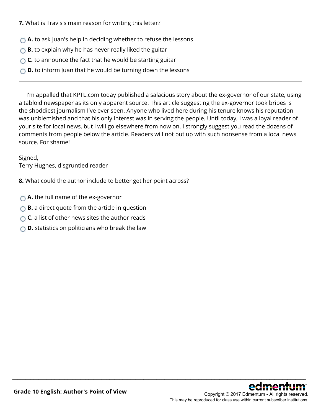**7.** What is Travis's main reason for writing this letter?

- **A.** to ask Juan's help in deciding whether to refuse the lessons
- **B.** to explain why he has never really liked the guitar
- **C.** to announce the fact that he would be starting guitar
- **D.** to inform Juan that he would be turning down the lessons

 I'm appalled that KPTL.com today published a salacious story about the ex-governor of our state, using a tabloid newspaper as its only apparent source. This article suggesting the ex-governor took bribes is the shoddiest journalism I've ever seen. Anyone who lived here during his tenure knows his reputation was unblemished and that his only interest was in serving the people. Until today, I was a loyal reader of your site for local news, but I will go elsewhere from now on. I strongly suggest you read the dozens of comments from people below the article. Readers will not put up with such nonsense from a local news source. For shame!

\_\_\_\_\_\_\_\_\_\_\_\_\_\_\_\_\_\_\_\_\_\_\_\_\_\_\_\_\_\_\_\_\_\_\_\_\_\_\_\_\_\_\_\_\_\_\_\_\_\_\_\_\_\_\_\_\_\_\_\_\_\_\_\_\_\_\_\_\_\_\_\_\_\_\_\_\_\_\_\_\_\_\_\_\_\_\_\_\_\_\_\_\_\_\_\_\_\_\_\_\_\_\_\_\_\_\_\_\_\_\_\_

Signed, Terry Hughes, disgruntled reader

**8.** What could the author include to better get her point across?

- **A.** the full name of the ex-governor
- **B.** a direct quote from the article in question
- **C.** a list of other news sites the author reads
- **D.** statistics on politicians who break the law

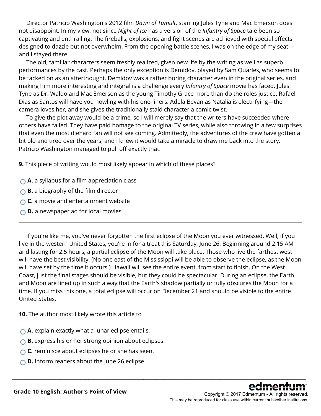Director Patricio Washington's 2012 film *Dawn of Tumult*, starring Jules Tyne and Mac Emerson does not disappoint. In my view, not since *Night of Ice* has a version of the *Infantry of Space* tale been so captivating and enthralling. The fireballs, explosions, and fight scenes are achieved with special effects designed to dazzle but not overwhelm. From the opening battle scenes, I was on the edge of my seat and I stayed there.

 The old, familiar characters seem freshly realized, given new life by the writing as well as superb performances by the cast. Perhaps the only exception is Demidov, played by Sam Quarles, who seems to be tacked on as an afterthought. Demidov was a rather boring character even in the original series, and making him more interesting and integral is a challenge every *Infantry of Space* movie has faced. Jules Tyne as Dr. Waldo and Mac Emerson as the young Timothy Grace more than do the roles justice. Rafael Dias as Santos will have you howling with his one-liners. Adela Bevan as Natalia is electrifying—the camera loves her, and she gives the traditionally staid character a comic twist.

 To give the plot away would be a crime, so I will merely say that the writers have succeeded where others have failed. They have paid homage to the original TV series, while also throwing in a few surprises that even the most diehard fan will not see coming. Admittedly, the adventures of the crew have gotten a bit old and tired over the years, and I knew it would take a miracle to draw me back into the story. Patricio Washington managed to pull off exactly that.

**9.** This piece of writing would most likely appear in which of these places?

- **A.** a syllabus for a film appreciation class
- **B.** a biography of the film director
- **C.** a movie and entertainment website
- **D.** a newspaper ad for local movies

 If you're like me, you've never forgotten the first eclipse of the Moon you ever witnessed. Well, if you live in the western United States, you're in for a treat this Saturday, June 26. Beginning around 2:15 AM and lasting for 2.5 hours, a partial eclipse of the Moon will take place. Those who live the farthest west will have the best visibility. (No one east of the Mississippi will be able to observe the eclipse, as the Moon will have set by the time it occurs.) Hawaii will see the entire event, from start to finish. On the West Coast, just the final stages should be visible, but they could be spectacular. During an eclipse, the Earth and Moon are lined up in such a way that the Earth's shadow partially or fully obscures the Moon for a time. If you miss this one, a total eclipse will occur on December 21 and should be visible to the entire United States.

\_\_\_\_\_\_\_\_\_\_\_\_\_\_\_\_\_\_\_\_\_\_\_\_\_\_\_\_\_\_\_\_\_\_\_\_\_\_\_\_\_\_\_\_\_\_\_\_\_\_\_\_\_\_\_\_\_\_\_\_\_\_\_\_\_\_\_\_\_\_\_\_\_\_\_\_\_\_\_\_\_\_\_\_\_\_\_\_\_\_\_\_\_\_\_\_\_\_\_\_\_\_\_\_\_\_\_\_\_\_\_\_

**10.** The author most likely wrote this article to

- **A.** explain exactly what a lunar eclipse entails.
- **B.** express his or her strong opinion about eclipses.
- **C.** reminisce about eclipses he or she has seen.
- **D.** inform readers about the June 26 eclipse.

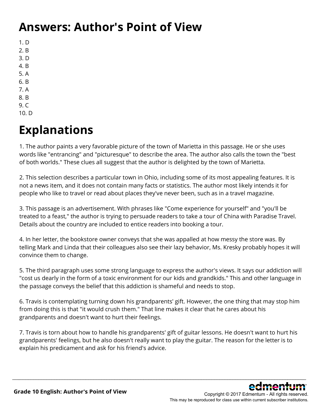#### **Answers: Author's Point of View**

- 1. D
- 2. B
- 3. D
- 4. B
- 5. A
- 6. B 7. A
- 8. B
- 9. C
- 10. D

### **Explanations**

1. The author paints a very favorable picture of the town of Marietta in this passage. He or she uses words like "entrancing" and "picturesque" to describe the area. The author also calls the town the "best of both worlds." These clues all suggest that the author is delighted by the town of Marietta.

2. This selection describes a particular town in Ohio, including some of its most appealing features. It is not a news item, and it does not contain many facts or statistics. The author most likely intends it for people who like to travel or read about places they've never been, such as in a travel magazine.

3. This passage is an advertisement. With phrases like "Come experience for yourself" and "you'll be treated to a feast," the author is trying to persuade readers to take a tour of China with Paradise Travel. Details about the country are included to entice readers into booking a tour.

4. In her letter, the bookstore owner conveys that she was appalled at how messy the store was. By telling Mark and Linda that their colleagues also see their lazy behavior, Ms. Kresky probably hopes it will convince them to change.

5. The third paragraph uses some strong language to express the author's views. It says our addiction will "cost us dearly in the form of a toxic environment for our kids and grandkids." This and other language in the passage conveys the belief that this addiction is shameful and needs to stop.

6. Travis is contemplating turning down his grandparents' gift. However, the one thing that may stop him from doing this is that "it would crush them." That line makes it clear that he cares about his grandparents and doesn't want to hurt their feelings.

7. Travis is torn about how to handle his grandparents' gift of guitar lessons. He doesn't want to hurt his grandparents' feelings, but he also doesn't really want to play the guitar. The reason for the letter is to explain his predicament and ask for his friend's advice.

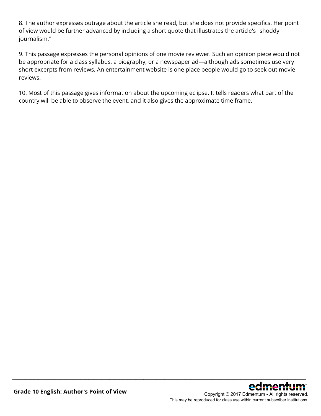8. The author expresses outrage about the article she read, but she does not provide specifics. Her point of view would be further advanced by including a short quote that illustrates the article's "shoddy journalism."

9. This passage expresses the personal opinions of one movie reviewer. Such an opinion piece would not be appropriate for a class syllabus, a biography, or a newspaper ad—although ads sometimes use very short excerpts from reviews. An entertainment website is one place people would go to seek out movie reviews.

10. Most of this passage gives information about the upcoming eclipse. It tells readers what part of the country will be able to observe the event, and it also gives the approximate time frame.

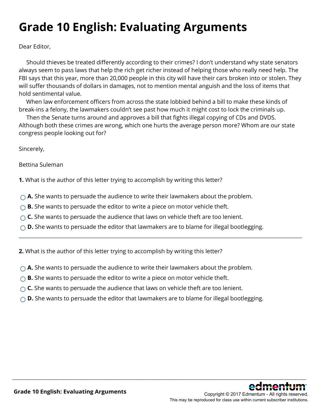### **Grade 10 English: Evaluating Arguments**

Dear Editor,

 Should thieves be treated differently according to their crimes? I don't understand why state senators always seem to pass laws that help the rich get richer instead of helping those who really need help. The FBI says that this year, more than 20,000 people in this city will have their cars broken into or stolen. They will suffer thousands of dollars in damages, not to mention mental anguish and the loss of items that hold sentimental value.

 When law enforcement officers from across the state lobbied behind a bill to make these kinds of break-ins a felony, the lawmakers couldn't see past how much it might cost to lock the criminals up.

 Then the Senate turns around and approves a bill that fights illegal copying of CDs and DVDS. Although both these crimes are wrong, which one hurts the average person more? Whom are our state congress people looking out for?

Sincerely,

Bettina Suleman

**1.** What is the author of this letter trying to accomplish by writing this letter?

- **A.** She wants to persuade the audience to write their lawmakers about the problem.
- **B.** She wants to persuade the editor to write a piece on motor vehicle theft.
- ◯ **C.** She wants to persuade the audience that laws on vehicle theft are too lenient.
- **D.** She wants to persuade the editor that lawmakers are to blame for illegal bootlegging.

**2.** What is the author of this letter trying to accomplish by writing this letter?

- **A.** She wants to persuade the audience to write their lawmakers about the problem.
- **B.** She wants to persuade the editor to write a piece on motor vehicle theft.
- **C.** She wants to persuade the audience that laws on vehicle theft are too lenient.
- ◯ **D.** She wants to persuade the editor that lawmakers are to blame for illegal bootlegging.

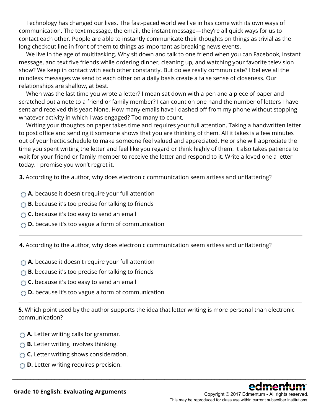Technology has changed our lives. The fast-paced world we live in has come with its own ways of communication. The text message, the email, the instant message—they're all quick ways for us to contact each other. People are able to instantly communicate their thoughts on things as trivial as the long checkout line in front of them to things as important as breaking news events.

 We live in the age of multitasking. Why sit down and talk to one friend when you can Facebook, instant message, and text five friends while ordering dinner, cleaning up, and watching your favorite television show? We keep in contact with each other constantly. But do we really communicate? I believe all the mindless messages we send to each other on a daily basis create a false sense of closeness. Our relationships are shallow, at best.

 When was the last time you wrote a letter? I mean sat down with a pen and a piece of paper and scratched out a note to a friend or family member? I can count on one hand the number of letters I have sent and received this year: None. How many emails have I dashed off from my phone without stopping whatever activity in which I was engaged? Too many to count.

 Writing your thoughts on paper takes time and requires your full attention. Taking a handwritten letter to post office and sending it someone shows that you are thinking of them. All it takes is a few minutes out of your hectic schedule to make someone feel valued and appreciated. He or she will appreciate the time you spent writing the letter and feel like you regard or think highly of them. It also takes patience to wait for your friend or family member to receive the letter and respond to it. Write a loved one a letter today. I promise you won't regret it.

**3.** According to the author, why does electronic communication seem artless and unflattering?

- **A.** because it doesn't require your full attention
- **B.** because it's too precise for talking to friends
- **C.** because it's too easy to send an email
- **D.** because it's too vague a form of communication

**4.** According to the author, why does electronic communication seem artless and unflattering?

- **A.** because it doesn't require your full attention
- **B.** because it's too precise for talking to friends
- **C.** because it's too easy to send an email
- **D.** because it's too vague a form of communication

**5.** Which point used by the author supports the idea that letter writing is more personal than electronic communication?

- **A.** Letter writing calls for grammar.
- **B.** Letter writing involves thinking.
- **C.** Letter writing shows consideration.
- **D.** Letter writing requires precision.

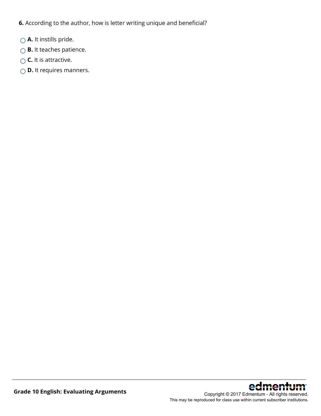**6.** According to the author, how is letter writing unique and beneficial?

- **A.** It instills pride.
- **B.** It teaches patience.
- **C.** It is attractive.
- **D.** It requires manners.

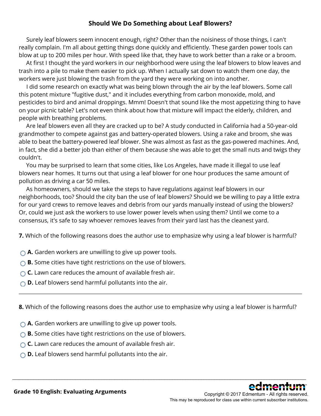#### **Should We Do Something about Leaf Blowers?**

 Surely leaf blowers seem innocent enough, right? Other than the noisiness of those things, I can't really complain. I'm all about getting things done quickly and efficiently. These garden power tools can blow at up to 200 miles per hour. With speed like that, they have to work better than a rake or a broom.

 At first I thought the yard workers in our neighborhood were using the leaf blowers to blow leaves and trash into a pile to make them easier to pick up. When I actually sat down to watch them one day, the workers were just blowing the trash from the yard they were working on into another.

 I did some research on exactly what was being blown through the air by the leaf blowers. Some call this potent mixture "fugitive dust," and it includes everything from carbon monoxide, mold, and pesticides to bird and animal droppings. Mmm! Doesn't that sound like the most appetizing thing to have on your picnic table? Let's not even think about how that mixture will impact the elderly, children, and people with breathing problems.

 Are leaf blowers even all they are cracked up to be? A study conducted in California had a 50-year-old grandmother to compete against gas and battery-operated blowers. Using a rake and broom, she was able to beat the battery-powered leaf blower. She was almost as fast as the gas-powered machines. And, in fact, she did a better job than either of them because she was able to get the small nuts and twigs they couldn't.

 You may be surprised to learn that some cities, like Los Angeles, have made it illegal to use leaf blowers near homes. It turns out that using a leaf blower for one hour produces the same amount of pollution as driving a car 50 miles.

 As homeowners, should we take the steps to have regulations against leaf blowers in our neighborhoods, too? Should the city ban the use of leaf blowers? Should we be willing to pay a little extra for our yard crews to remove leaves and debris from our yards manually instead of using the blowers? Or, could we just ask the workers to use lower power levels when using them? Until we come to a consensus, it's safe to say whoever removes leaves from their yard last has the cleanest yard.

**7.** Which of the following reasons does the author use to emphasize why using a leaf blower is harmful?

- **A.** Garden workers are unwilling to give up power tools.
- **B.** Some cities have tight restrictions on the use of blowers.
- **C.** Lawn care reduces the amount of available fresh air.
- **D.** Leaf blowers send harmful pollutants into the air.

**8.** Which of the following reasons does the author use to emphasize why using a leaf blower is harmful?

\_\_\_\_\_\_\_\_\_\_\_\_\_\_\_\_\_\_\_\_\_\_\_\_\_\_\_\_\_\_\_\_\_\_\_\_\_\_\_\_\_\_\_\_\_\_\_\_\_\_\_\_\_\_\_\_\_\_\_\_\_\_\_\_\_\_\_\_\_\_\_\_\_\_\_\_\_\_\_\_\_\_\_\_\_\_\_\_\_\_\_\_\_\_\_\_\_\_\_\_\_\_\_\_\_\_\_\_\_\_\_\_

- **A.** Garden workers are unwilling to give up power tools.
- **B.** Some cities have tight restrictions on the use of blowers.
- **C.** Lawn care reduces the amount of available fresh air.
- **D.** Leaf blowers send harmful pollutants into the air.



Copyright © 2017 Edmentum - All rights reserved. This may be reproduced for class use within current subscriber institutions.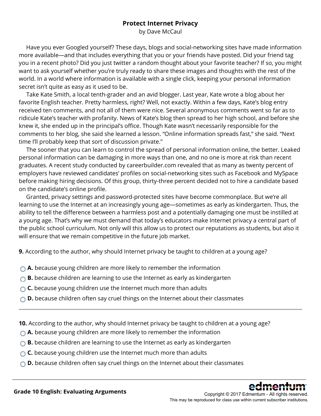#### **Protect Internet Privacy**

by Dave McCaul

 Have you ever Googled yourself? These days, blogs and social-networking sites have made information more available—and that includes everything that you or your friends have posted. Did your friend tag you in a recent photo? Did you just twitter a random thought about your favorite teacher? If so, you might want to ask yourself whether you're truly ready to share these images and thoughts with the rest of the world. In a world where information is available with a single click, keeping your personal information secret isn't quite as easy as it used to be.

 Take Kate Smith, a local tenth-grader and an avid blogger. Last year, Kate wrote a blog about her favorite English teacher. Pretty harmless, right? Well, not exactly. Within a few days, Kate's blog entry received ten comments, and not all of them were nice. Several anonymous comments went so far as to ridicule Kate's teacher with profanity. News of Kate's blog then spread to her high school, and before she knew it, she ended up in the principal's office. Though Kate wasn't necessarily responsible for the comments to her blog, she said she learned a lesson. "Online information spreads fast," she said. "Next time I'll probably keep that sort of discussion private."

 The sooner that you can learn to control the spread of personal information online, the better. Leaked personal information can be damaging in more ways than one, and no one is more at risk than recent graduates. A recent study conducted by careerbuilder.com revealed that as many as twenty percent of employers have reviewed candidates' profiles on social-networking sites such as Facebook and MySpace before making hiring decisions. Of this group, thirty-three percent decided not to hire a candidate based on the candidate's online profile.

 Granted, privacy settings and password-protected sites have become commonplace. But we're all learning to use the Internet at an increasingly young age—sometimes as early as kindergarten. Thus, the ability to tell the difference between a harmless post and a potentially damaging one must be instilled at a young age. That's why we must demand that today's educators make Internet privacy a central part of the public school curriculum. Not only will this allow us to protect our reputations as students, but also it will ensure that we remain competitive in the future job market.

**9.** According to the author, why should Internet privacy be taught to children at a young age?

- **A.** because young children are more likely to remember the information
- **B.** because children are learning to use the Internet as early as kindergarten
- **C.** because young children use the Internet much more than adults
- ◯ **D.** because children often say cruel things on the Internet about their classmates
- **10.** According to the author, why should Internet privacy be taught to children at a young age?

- **A.** because young children are more likely to remember the information
- **B.** because children are learning to use the Internet as early as kindergarten
- ◯ **C.** because young children use the Internet much more than adults
- ◯ **D.** because children often say cruel things on the Internet about their classmates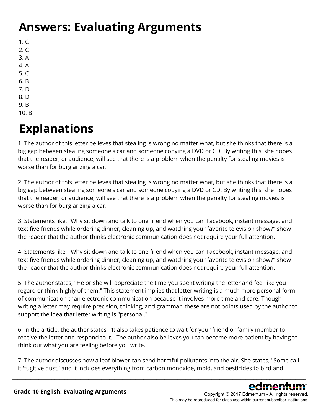### **Answers: Evaluating Arguments**

- $1. C$
- 2. C 3. A
- 4. A
- 5. C
- 6. B
- 7. D
- 8. D
- 9. B
- 10. B

## **Explanations**

1. The author of this letter believes that stealing is wrong no matter what, but she thinks that there is a big gap between stealing someone's car and someone copying a DVD or CD. By writing this, she hopes that the reader, or audience, will see that there is a problem when the penalty for stealing movies is worse than for burglarizing a car.

2. The author of this letter believes that stealing is wrong no matter what, but she thinks that there is a big gap between stealing someone's car and someone copying a DVD or CD. By writing this, she hopes that the reader, or audience, will see that there is a problem when the penalty for stealing movies is worse than for burglarizing a car.

3. Statements like, "Why sit down and talk to one friend when you can Facebook, instant message, and text five friends while ordering dinner, cleaning up, and watching your favorite television show?" show the reader that the author thinks electronic communication does not require your full attention.

4. Statements like, "Why sit down and talk to one friend when you can Facebook, instant message, and text five friends while ordering dinner, cleaning up, and watching your favorite television show?" show the reader that the author thinks electronic communication does not require your full attention.

5. The author states, "He or she will appreciate the time you spent writing the letter and feel like you regard or think highly of them." This statement implies that letter writing is a much more personal form of communication than electronic communication because it involves more time and care. Though writing a letter may require precision, thinking, and grammar, these are not points used by the author to support the idea that letter writing is "personal."

6. In the article, the author states, "It also takes patience to wait for your friend or family member to receive the letter and respond to it." The author also believes you can become more patient by having to think out what you are feeling before you write.

7. The author discusses how a leaf blower can send harmful pollutants into the air. She states, "Some call it 'fugitive dust,' and it includes everything from carbon monoxide, mold, and pesticides to bird and

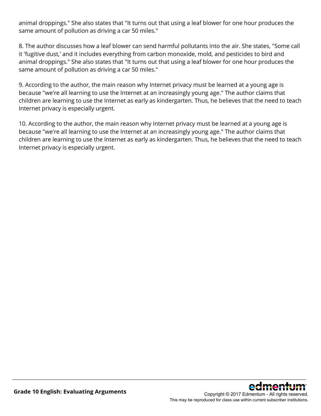animal droppings." She also states that "It turns out that using a leaf blower for one hour produces the same amount of pollution as driving a car 50 miles."

8. The author discusses how a leaf blower can send harmful pollutants into the air. She states, "Some call it 'fugitive dust,' and it includes everything from carbon monoxide, mold, and pesticides to bird and animal droppings." She also states that "It turns out that using a leaf blower for one hour produces the same amount of pollution as driving a car 50 miles."

9. According to the author, the main reason why Internet privacy must be learned at a young age is because "we're all learning to use the Internet at an increasingly young age." The author claims that children are learning to use the Internet as early as kindergarten. Thus, he believes that the need to teach Internet privacy is especially urgent.

10. According to the author, the main reason why Internet privacy must be learned at a young age is because "we're all learning to use the Internet at an increasingly young age." The author claims that children are learning to use the Internet as early as kindergarten. Thus, he believes that the need to teach Internet privacy is especially urgent.

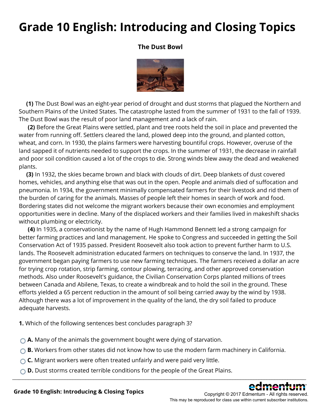### **Grade 10 English: Introducing and Closing Topics**

#### **The Dust Bowl**



**(1)** The Dust Bowl was an eight-year period of drought and dust storms that plagued the Northern and Southern Plains of the United States. The catastrophe lasted from the summer of 1931 to the fall of 1939. The Dust Bowl was the result of poor land management and a lack of rain.

**(2)** Before the Great Plains were settled, plant and tree roots held the soil in place and prevented the water from running off. Settlers cleared the land, plowed deep into the ground, and planted cotton, wheat, and corn. In 1930, the plains farmers were harvesting bountiful crops. However, overuse of the land sapped it of nutrients needed to support the crops. In the summer of 1931, the decrease in rainfall and poor soil condition caused a lot of the crops to die. Strong winds blew away the dead and weakened plants.

**(3)** In 1932, the skies became brown and black with clouds of dirt. Deep blankets of dust covered homes, vehicles, and anything else that was out in the open. People and animals died of suffocation and pneumonia. In 1934, the government minimally compensated farmers for their livestock and rid them of the burden of caring for the animals. Masses of people left their homes in search of work and food. Bordering states did not welcome the migrant workers because their own economies and employment opportunities were in decline. Many of the displaced workers and their families lived in makeshift shacks without plumbing or electricity.

**(4)** In 1935, a conservationist by the name of Hugh Hammond Bennett led a strong campaign for better farming practices and land management. He spoke to Congress and succeeded in getting the Soil Conservation Act of 1935 passed. President Roosevelt also took action to prevent further harm to U.S. lands. The Roosevelt administration educated farmers on techniques to conserve the land. In 1937, the government began paying farmers to use new farming techniques. The farmers received a dollar an acre for trying crop rotation, strip farming, contour plowing, terracing, and other approved conservation methods. Also under Roosevelt's guidance, the Civilian Conservation Corps planted millions of trees between Canada and Abilene, Texas, to create a windbreak and to hold the soil in the ground. These efforts yielded a 65 percent reduction in the amount of soil being carried away by the wind by 1938. Although there was a lot of improvement in the quality of the land, the dry soil failed to produce adequate harvests.

**1.** Which of the following sentences best concludes paragraph 3?

- **A.** Many of the animals the government bought were dying of starvation.
- ◯ **B.** Workers from other states did not know how to use the modern farm machinery in California.

\_\_\_\_\_\_\_\_\_\_\_\_\_\_\_\_\_\_\_\_\_\_\_\_\_\_\_\_\_\_\_\_\_\_\_\_\_\_\_\_\_\_\_\_\_\_\_\_\_\_\_\_\_\_\_\_\_\_\_\_\_\_\_\_\_\_\_\_\_\_\_\_\_\_\_\_\_\_\_\_\_\_\_\_\_\_\_\_\_\_\_\_\_\_\_\_\_\_\_\_\_\_\_\_\_\_\_\_\_\_\_\_

- **C.** Migrant workers were often treated unfairly and were paid very little.
- **D.** Dust storms created terrible conditions for the people of the Great Plains.



This may be reproduced for class use within current subscriber institutions.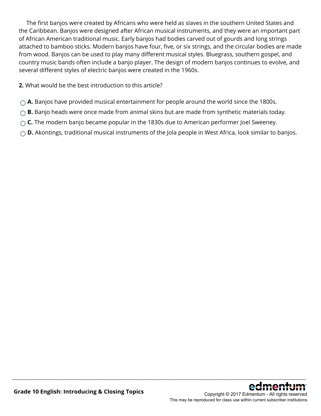The first banjos were created by Africans who were held as slaves in the southern United States and the Caribbean. Banjos were designed after African musical instruments, and they were an important part of African American traditional music. Early banjos had bodies carved out of gourds and long strings attached to bamboo sticks. Modern banjos have four, five, or six strings, and the circular bodies are made from wood. Banjos can be used to play many different musical styles. Bluegrass, southern gospel, and country music bands often include a banjo player. The design of modern banjos continues to evolve, and several different styles of electric banjos were created in the 1960s.

**2.** What would be the best introduction to this article?

- **A.** Banjos have provided musical entertainment for people around the world since the 1800s.
- ◯ **B.** Banjo heads were once made from animal skins but are made from synthetic materials today.
- **C.** The modern banjo became popular in the 1830s due to American performer Joel Sweeney.
- **D.** Akontings, traditional musical instruments of the Jola people in West Africa, look similar to banjos.

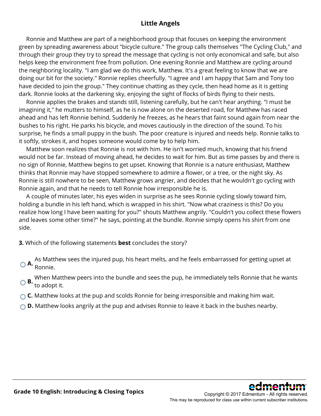#### **Little Angels**

 Ronnie and Matthew are part of a neighborhood group that focuses on keeping the environment green by spreading awareness about "bicycle culture." The group calls themselves "The Cycling Club," and through their group they try to spread the message that cycling is not only economical and safe, but also helps keep the environment free from pollution. One evening Ronnie and Matthew are cycling around the neighboring locality. "I am glad we do this work, Matthew. It's a great feeling to know that we are doing our bit for the society." Ronnie replies cheerfully. "I agree and I am happy that Sam and Tony too have decided to join the group." They continue chatting as they cycle, then head home as it is getting dark. Ronnie looks at the darkening sky, enjoying the sight of flocks of birds flying to their nests.

 Ronnie applies the brakes and stands still, listening carefully, but he can't hear anything. "I must be imagining it," he mutters to himself, as he is now alone on the deserted road, for Matthew has raced ahead and has left Ronnie behind. Suddenly he freezes, as he hears that faint sound again from near the bushes to his right. He parks his bicycle, and moves cautiously in the direction of the sound. To his surprise, he finds a small puppy in the bush. The poor creature is injured and needs help. Ronnie talks to it softly, strokes it, and hopes someone would come by to help him.

 Matthew soon realizes that Ronnie is not with him. He isn't worried much, knowing that his friend would not be far. Instead of moving ahead, he decides to wait for him. But as time passes by and there is no sign of Ronnie, Matthew begins to get upset. Knowing that Ronnie is a nature enthusiast, Matthew thinks that Ronnie may have stopped somewhere to admire a flower, or a tree, or the night sky. As Ronnie is still nowhere to be seen, Matthew grows angrier, and decides that he wouldn't go cycling with Ronnie again, and that he needs to tell Ronnie how irresponsible he is.

 A couple of minutes later, his eyes widen in surprise as he sees Ronnie cycling slowly toward him, holding a bundle in his left hand, which is wrapped in his shirt. "Now what craziness is this? Do you realize how long I have been waiting for you?" shouts Matthew angrily. "Couldn't you collect these flowers and leaves some other time?" he says, pointing at the bundle. Ronnie simply opens his shirt from one side.

**3.** Which of the following statements **best** concludes the story?

- **A.** As Matthew sees the injured pup, his heart melts, and he feels embarrassed for getting upset at Ronnie.
- **B.** When Matthew peers into the bundle and sees the pup, he immediately tells Ronnie that he wants to adopt it.

- ◯ **C.** Matthew looks at the pup and scolds Ronnie for being irresponsible and making him wait.
- **D.** Matthew looks angrily at the pup and advises Ronnie to leave it back in the bushes nearby.

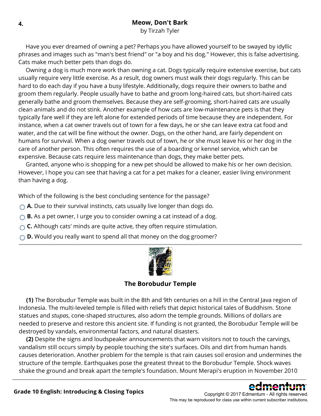#### **4. Meow, Don't Bark**

by Tirzah Tyler

 Have you ever dreamed of owning a pet? Perhaps you have allowed yourself to be swayed by idyllic phrases and images such as "man's best friend" or "a boy and his dog." However, this is false advertising. Cats make much better pets than dogs do.

 Owning a dog is much more work than owning a cat. Dogs typically require extensive exercise, but cats usually require very little exercise. As a result, dog owners must walk their dogs regularly. This can be hard to do each day if you have a busy lifestyle. Additionally, dogs require their owners to bathe and groom them regularly. People usually have to bathe and groom long-haired cats, but short-haired cats generally bathe and groom themselves. Because they are self-grooming, short-haired cats are usually clean animals and do not stink. Another example of how cats are low-maintenance pets is that they typically fare well if they are left alone for extended periods of time because they are independent. For instance, when a cat owner travels out of town for a few days, he or she can leave extra cat food and water, and the cat will be fine without the owner. Dogs, on the other hand, are fairly dependent on humans for survival. When a dog owner travels out of town, he or she must leave his or her dog in the care of another person. This often requires the use of a boarding or kennel service, which can be expensive. Because cats require less maintenance than dogs, they make better pets.

 Granted, anyone who is shopping for a new pet should be allowed to make his or her own decision. However, I hope you can see that having a cat for a pet makes for a cleaner, easier living environment than having a dog.

Which of the following is the best concluding sentence for the passage?

- **A.** Due to their survival instincts, cats usually live longer than dogs do.
- **B.** As a pet owner, I urge you to consider owning a cat instead of a dog.
- **C.** Although cats' minds are quite active, they often require stimulation.
- **D.** Would you really want to spend all that money on the dog groomer?



#### **The Borobudur Temple**

**(1)** The Borobudur Temple was built in the 8th and 9th centuries on a hill in the Central Java region of Indonesia. The multi-leveled temple is filled with reliefs that depict historical tales of Buddhism. Stone statues and *stupas*, cone-shaped structures, also adorn the temple grounds. Millions of dollars are needed to preserve and restore this ancient site. If funding is not granted, the Borobudur Temple will be destroyed by vandals, environmental factors, and natural disasters.

**(2)** Despite the signs and loudspeaker announcements that warn visitors not to touch the carvings, vandalism still occurs simply by people touching the site's surfaces. Oils and dirt from human hands causes deterioration. Another problem for the temple is that rain causes soil erosion and undermines the structure of the temple. Earthquakes pose the greatest threat to the Borobudur Temple. Shock waves shake the ground and break apart the temple's foundation. Mount Merapi's eruption in November 2010

\_\_\_\_\_\_\_\_\_\_\_\_\_\_\_\_\_\_\_\_\_\_\_\_\_\_\_\_\_\_\_\_\_\_\_\_\_\_\_\_\_\_\_\_\_\_\_\_\_\_\_\_\_\_\_\_\_\_\_\_\_\_\_\_\_\_\_\_\_\_\_\_\_\_\_\_\_\_\_\_\_\_\_\_\_\_\_\_\_\_\_\_\_\_\_\_\_\_\_\_\_\_\_\_\_\_\_\_\_\_\_\_

**Grade 10 English: Introducing & Closing Topics**

#### Copyright © 2017 Edmentum - All rights reserved. This may be reproduced for class use within current subscriber institutions.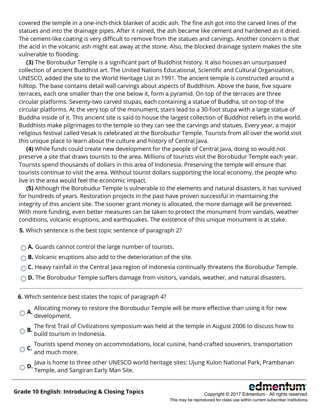covered the temple in a one-inch-thick blanket of acidic ash. The fine ash got into the carved lines of the statues and into the drainage pipes. After it rained, the ash became like cement and hardened as it dried. The cement-like coating is very difficult to remove from the statues and carvings. Another concern is that the acid in the volcanic ash might eat away at the stone. Also, the blocked drainage system makes the site vulnerable to flooding.

**(3)** The Borobudur Temple is a significant part of Buddhist history. It also houses an unsurpassed collection of ancient Buddhist art. The United Nations Educational, Scientific and Cultural Organization, UNESCO, added the site to the World Heritage List in 1991. The ancient temple is constructed around a hilltop. The base contains detail wall carvings about aspects of Buddhism. Above the base, five square terraces, each one smaller than the one below it, form a pyramid. On top of the terraces are three circular platforms. Seventy-two carved stupas, each containing a statue of Buddha, sit on top of the circular platforms. At the very top of the monument, stairs lead to a 30-foot stupa with a large statue of Buddha inside of it. This ancient site is said to house the largest collection of Buddhist reliefs in the world. Buddhists make pilgrimages to the temple so they can see the carvings and statues. Every year, a major religious festival called Vesak is celebrated at the Borobudur Temple. Tourists from all over the world visit this unique place to learn about the culture and history of Central Java.

**(4)** While funds could create new development for the people of Central Java, doing so would not preserve a site that draws tourists to the area. Millions of tourists visit the Borobudur Temple each year. Tourists spend thousands of dollars in this area of Indonesia. Preserving the temple will ensure that tourists continue to visit the area. Without tourist dollars supporting the local economy, the people who live in the area would feel the economic impact.

**(5)** Although the Borobudur Temple is vulnerable to the elements and natural disasters, it has survived for hundreds of years. Restoration projects in the past have proven successful in maintaining the integrity of this ancient site. The sooner grant money is allocated, the more damage will be prevented. With more funding, even better measures can be taken to protect the monument from vandals, weather conditions, volcanic eruptions, and earthquakes. The existence of this unique monument is at stake.

**5.** Which sentence is the best topic sentence of paragraph 2?

- **A.** Guards cannot control the large number of tourists.
- **B.** Volcanic eruptions also add to the deterioration of the site.
- ◯ **C.** Heavy rainfall in the Central Java region of Indonesia continually threatens the Borobudur Temple.
- **D.** The Borobudur Temple suffers damage from visitors, vandals, weather, and natural disasters.
- **6.** Which sentence best states the topic of paragraph 4?
- **A.** Allocating money to restore the Borobudur Temple will be more effective than using it for new development.
- **B.** The first Trail of Civilizations symposium was held at the temple in August 2006 to discuss how to build tourism in Indonesia.
- **C.** Tourists spend money on accommodations, local cuisine, hand-crafted souvenirs, transportation and much more.
- **D.** Java is home to three other UNESCO world heritage sites: Ujung Kulon National Park, Prambanan Temple, and Sangiran Early Man Site.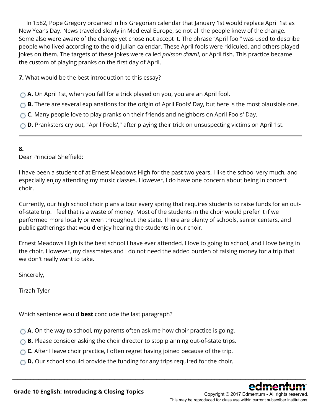In 1582, Pope Gregory ordained in his Gregorian calendar that January 1st would replace April 1st as New Year's Day. News traveled slowly in Medieval Europe, so not all the people knew of the change. Some also were aware of the change yet chose not accept it. The phrase "April fool" was used to describe people who lived according to the old Julian calendar. These April fools were ridiculed, and others played jokes on them. The targets of these jokes were called *poisson d'avril*, or April fish. This practice became the custom of playing pranks on the first day of April.

**7.** What would be the best introduction to this essay?

- **A.** On April 1st, when you fall for a trick played on you, you are an April fool.
- **B.** There are several explanations for the origin of April Fools' Day, but here is the most plausible one.
- **C.** Many people love to play pranks on their friends and neighbors on April Fools' Day.
- **D.** Pranksters cry out, "April Fools'," after playing their trick on unsuspecting victims on April 1st.

#### **8.**

Dear Principal Sheffield:

I have been a student of at Ernest Meadows High for the past two years. I like the school very much, and I especially enjoy attending my music classes. However, I do have one concern about being in concert choir.

Currently, our high school choir plans a tour every spring that requires students to raise funds for an outof-state trip. I feel that is a waste of money. Most of the students in the choir would prefer it if we performed more locally or even throughout the state. There are plenty of schools, senior centers, and public gatherings that would enjoy hearing the students in our choir.

Ernest Meadows High is the best school I have ever attended. I love to going to school, and I love being in the choir. However, my classmates and I do not need the added burden of raising money for a trip that we don't really want to take.

\_\_\_\_\_\_\_\_\_\_\_\_\_\_\_\_\_\_\_\_\_\_\_\_\_\_\_\_\_\_\_\_\_\_\_\_\_\_\_\_\_\_\_\_\_\_\_\_\_\_\_\_\_\_\_\_\_\_\_\_\_\_\_\_\_\_\_\_\_\_\_\_\_\_\_\_\_\_\_\_\_\_\_\_\_\_\_\_\_\_\_\_\_\_\_\_\_\_\_\_\_\_\_\_\_\_\_\_\_\_\_\_

Sincerely,

Tirzah Tyler

Which sentence would **best** conclude the last paragraph?

- **A.** On the way to school, my parents often ask me how choir practice is going.
- **B.** Please consider asking the choir director to stop planning out-of-state trips.
- **C.** After I leave choir practice, I often regret having joined because of the trip.
- **D.** Our school should provide the funding for any trips required for the choir.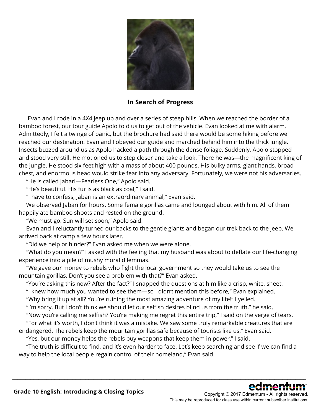

**In Search of Progress**

 Evan and I rode in a 4X4 jeep up and over a series of steep hills. When we reached the border of a bamboo forest, our tour guide Apolo told us to get out of the vehicle. Evan looked at me with alarm. Admittedly, I felt a twinge of panic, but the brochure had said there would be some hiking before we reached our destination. Evan and I obeyed our guide and marched behind him into the thick jungle. Insects buzzed around us as Apolo hacked a path through the dense foliage. Suddenly, Apolo stopped and stood very still. He motioned us to step closer and take a look. There he was—the magnificent king of the jungle. He stood six feet high with a mass of about 400 pounds. His bulky arms, giant hands, broad chest, and enormous head would strike fear into any adversary. Fortunately, we were not his adversaries.

"He is called Jabari—Fearless One," Apolo said.

"He's beautiful. His fur is as black as coal," I said.

"I have to confess, Jabari is an extraordinary animal," Evan said.

 We observed Jabari for hours. Some female gorillas came and lounged about with him. All of them happily ate bamboo shoots and rested on the ground.

"We must go. Sun will set soon," Apolo said.

 Evan and I reluctantly turned our backs to the gentle giants and began our trek back to the jeep. We arrived back at camp a few hours later.

"Did we help or hinder?" Evan asked me when we were alone.

 "What do you mean?" I asked with the feeling that my husband was about to deflate our life-changing experience into a pile of mushy moral dilemmas.

 "We gave our money to rebels who fight the local government so they would take us to see the mountain gorillas. Don't you see a problem with that?" Evan asked.

"You're asking this now? After the fact?" I snapped the questions at him like a crisp, white, sheet.

"I knew how much you wanted to see them—so I didn't mention this before," Evan explained.

"Why bring it up at all? You're ruining the most amazing adventure of my life!" I yelled.

"I'm sorry. But I don't think we should let our selfish desires blind us from the truth," he said.

"Now you're calling me selfish? You're making me regret this entire trip," I said on the verge of tears.

 "For what it's worth, I don't think it was a mistake. We saw some truly remarkable creatures that are endangered. The rebels keep the mountain gorillas safe because of tourists like us," Evan said.

"Yes, but our money helps the rebels buy weapons that keep them in power," I said.

 "The truth is difficult to find, and it's even harder to face. Let's keep searching and see if we can find a way to help the local people regain control of their homeland," Evan said.

\_\_\_\_\_\_\_\_\_\_\_\_\_\_\_\_\_\_\_\_\_\_\_\_\_\_\_\_\_\_\_\_\_\_\_\_\_\_\_\_\_\_\_\_\_\_\_\_\_\_\_\_\_\_\_\_\_\_\_\_\_\_\_\_\_\_\_\_\_\_\_\_\_\_\_\_\_\_\_\_\_\_\_\_\_\_\_\_\_\_\_\_\_\_\_\_\_\_\_\_\_\_\_\_\_\_\_\_\_\_\_\_

This may be reproduced for class use within current subscriber institutions.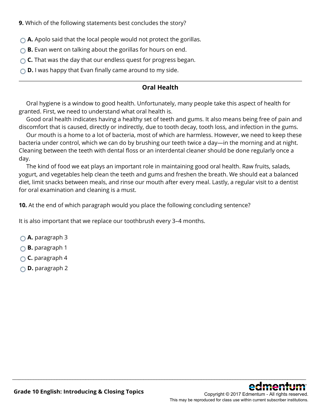**9.** Which of the following statements best concludes the story?

- **A.** Apolo said that the local people would not protect the gorillas.
- **B.** Evan went on talking about the gorillas for hours on end.
- **C.** That was the day that our endless quest for progress began.
- **D.** I was happy that Evan finally came around to my side.

#### **Oral Health**

 Oral hygiene is a window to good health. Unfortunately, many people take this aspect of health for granted. First, we need to understand what oral health is.

 Good oral health indicates having a healthy set of teeth and gums. It also means being free of pain and discomfort that is caused, directly or indirectly, due to tooth decay, tooth loss, and infection in the gums.

 Our mouth is a home to a lot of bacteria, most of which are harmless. However, we need to keep these bacteria under control, which we can do by brushing our teeth twice a day—in the morning and at night. Cleaning between the teeth with dental floss or an interdental cleaner should be done regularly once a day.

 The kind of food we eat plays an important role in maintaining good oral health. Raw fruits, salads, yogurt, and vegetables help clean the teeth and gums and freshen the breath. We should eat a balanced diet, limit snacks between meals, and rinse our mouth after every meal. Lastly, a regular visit to a dentist for oral examination and cleaning is a must.

\_\_\_\_\_\_\_\_\_\_\_\_\_\_\_\_\_\_\_\_\_\_\_\_\_\_\_\_\_\_\_\_\_\_\_\_\_\_\_\_\_\_\_\_\_\_\_\_\_\_\_\_\_\_\_\_\_\_\_\_\_\_\_\_\_\_\_\_\_\_\_\_\_\_\_\_\_\_\_\_\_\_\_\_\_\_\_\_\_\_\_\_\_\_\_\_\_\_\_\_\_\_\_\_\_\_\_\_\_\_\_\_

**10.** At the end of which paragraph would you place the following concluding sentence?

It is also important that we replace our toothbrush every 3–4 months.

- **A.** paragraph 3
- **B.** paragraph 1
- **C.** paragraph 4
- **D.** paragraph 2

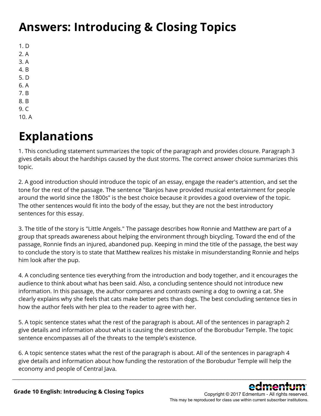### **Answers: Introducing & Closing Topics**

- 1. D
- 2. A
- 3. A
- 4. B
- 5. D
- 6. A 7. B
- 8. B
- 9. C
- 10. A

### **Explanations**

1. This concluding statement summarizes the topic of the paragraph and provides closure. Paragraph 3 gives details about the hardships caused by the dust storms. The correct answer choice summarizes this topic.

2. A good introduction should introduce the topic of an essay, engage the reader's attention, and set the tone for the rest of the passage. The sentence "Banjos have provided musical entertainment for people around the world since the 1800s" is the best choice because it provides a good overview of the topic. The other sentences would fit into the body of the essay, but they are not the best introductory sentences for this essay.

3. The title of the story is "Little Angels." The passage describes how Ronnie and Matthew are part of a group that spreads awareness about helping the environment through bicycling. Toward the end of the passage, Ronnie finds an injured, abandoned pup. Keeping in mind the title of the passage, the best way to conclude the story is to state that Matthew realizes his mistake in misunderstanding Ronnie and helps him look after the pup.

4. A concluding sentence ties everything from the introduction and body together, and it encourages the audience to think about what has been said. Also, a concluding sentence should not introduce new information. In this passage, the author compares and contrasts owning a dog to owning a cat. She clearly explains why she feels that cats make better pets than dogs. The best concluding sentence ties in how the author feels with her plea to the reader to agree with her.

5. A topic sentence states what the rest of the paragraph is about. All of the sentences in paragraph 2 give details and information about what is causing the destruction of the Borobudur Temple. The topic sentence encompasses all of the threats to the temple's existence.

6. A topic sentence states what the rest of the paragraph is about. All of the sentences in paragraph 4 give details and information about how funding the restoration of the Borobudur Temple will help the economy and people of Central Java.

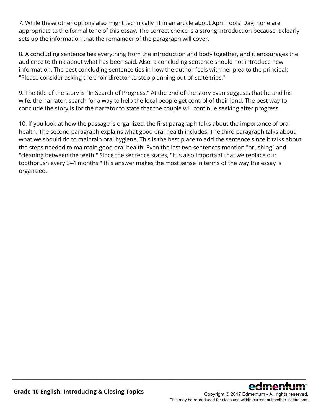7. While these other options also might technically fit in an article about April Fools' Day, none are appropriate to the formal tone of this essay. The correct choice is a strong introduction because it clearly sets up the information that the remainder of the paragraph will cover.

8. A concluding sentence ties everything from the introduction and body together, and it encourages the audience to think about what has been said. Also, a concluding sentence should not introduce new information. The best concluding sentence ties in how the author feels with her plea to the principal: "Please consider asking the choir director to stop planning out-of-state trips."

9. The title of the story is "In Search of Progress." At the end of the story Evan suggests that he and his wife, the narrator, search for a way to help the local people get control of their land. The best way to conclude the story is for the narrator to state that the couple will continue seeking after progress.

10. If you look at how the passage is organized, the first paragraph talks about the importance of oral health. The second paragraph explains what good oral health includes. The third paragraph talks about what we should do to maintain oral hygiene. This is the best place to add the sentence since it talks about the steps needed to maintain good oral health. Even the last two sentences mention "brushing" and "cleaning between the teeth." Since the sentence states, "It is also important that we replace our toothbrush every 3–4 months," this answer makes the most sense in terms of the way the essay is organized.

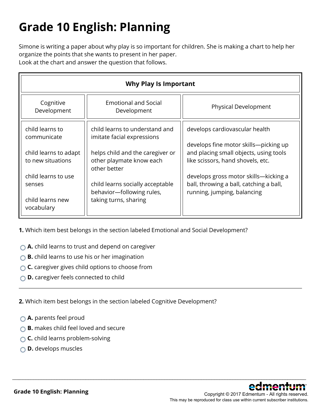# **Grade 10 English: Planning**

Simone is writing a paper about why play is so important for children. She is making a chart to help her organize the points that she wants to present in her paper. Look at the chart and answer the question that follows.

| Why Play Is Important                      |                                                              |                                                                             |  |  |  |
|--------------------------------------------|--------------------------------------------------------------|-----------------------------------------------------------------------------|--|--|--|
| Cognitive<br>Development                   | <b>Emotional and Social</b><br>Development                   | Physical Development                                                        |  |  |  |
| child learns to<br>communicate             | child learns to understand and<br>imitate facial expressions | develops cardiovascular health                                              |  |  |  |
|                                            |                                                              | develops fine motor skills-picking up                                       |  |  |  |
| child learns to adapt<br>to new situations | helps child and the caregiver or<br>other playmate know each | and placing small objects, using tools<br>like scissors, hand shovels, etc. |  |  |  |
|                                            | other better                                                 |                                                                             |  |  |  |
| child learns to use                        |                                                              | develops gross motor skills-kicking a                                       |  |  |  |
| senses                                     | child learns socially acceptable                             | ball, throwing a ball, catching a ball,                                     |  |  |  |
| child learns new                           | behavior-following rules,<br>taking turns, sharing           | running, jumping, balancing                                                 |  |  |  |
| vocabulary                                 |                                                              |                                                                             |  |  |  |

\_\_\_\_\_\_\_\_\_\_\_\_\_\_\_\_\_\_\_\_\_\_\_\_\_\_\_\_\_\_\_\_\_\_\_\_\_\_\_\_\_\_\_\_\_\_\_\_\_\_\_\_\_\_\_\_\_\_\_\_\_\_\_\_\_\_\_\_\_\_\_\_\_\_\_\_\_\_\_\_\_\_\_\_\_\_\_\_\_\_\_\_\_\_\_\_\_\_\_\_\_\_\_\_\_\_\_\_\_\_\_\_

**1.** Which item best belongs in the section labeled Emotional and Social Development?

- **A.** child learns to trust and depend on caregiver
- **B.** child learns to use his or her imagination
- **C.** caregiver gives child options to choose from
- **D.** caregiver feels connected to child

**2.** Which item best belongs in the section labeled Cognitive Development?

- **A.** parents feel proud
- **B.** makes child feel loved and secure
- **C.** child learns problem-solving
- **D.** develops muscles



**Grade 10 English: Planning**

Copyright © 2017 Edmentum - All rights reserved. This may be reproduced for class use within current subscriber institutions.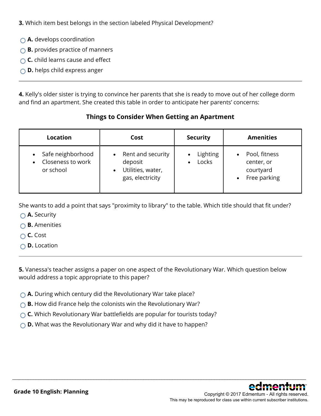**3.** Which item best belongs in the section labeled Physical Development?

- **A.** develops coordination
- **B.** provides practice of manners
- **C.** child learns cause and effect
- **D.** helps child express anger

**4.** Kelly's older sister is trying to convince her parents that she is ready to move out of her college dorm and find an apartment. She created this table in order to anticipate her parents' concerns:

#### **Things to Consider When Getting an Apartment**

| <b>Location</b>                                     | Cost                                                                                            | <b>Security</b>   | <b>Amenities</b>                                                      |
|-----------------------------------------------------|-------------------------------------------------------------------------------------------------|-------------------|-----------------------------------------------------------------------|
| Safe neighborhood<br>Closeness to work<br>or school | Rent and security<br>$\bullet$<br>deposit<br>Utilities, water,<br>$\bullet$<br>gas, electricity | Lighting<br>Locks | Pool, fitness<br>center, or<br>courtyard<br>Free parking<br>$\bullet$ |

She wants to add a point that says "proximity to library" to the table. Which title should that fit under?

- **A.** Security
- **B.** Amenities
- **C.** Cost
- **D.** Location

**5.** Vanessa's teacher assigns a paper on one aspect of the Revolutionary War. Which question below would address a topic appropriate to this paper?

- **A.** During which century did the Revolutionary War take place?
- **B.** How did France help the colonists win the Revolutionary War?
- **C.** Which Revolutionary War battlefields are popular for tourists today?
- **D.** What was the Revolutionary War and why did it have to happen?

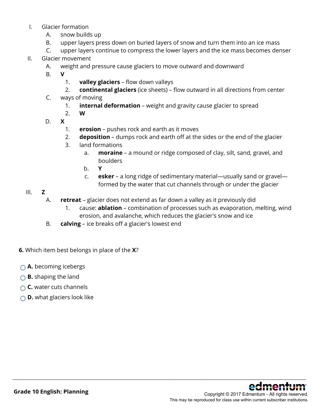#### I. Glacier formation

- A. snow builds up
- B. upper layers press down on buried layers of snow and turn them into an ice mass
- C. upper layers continue to compress the lower layers and the ice mass becomes denser
- II. Glacier movement
	- A. weight and pressure cause glaciers to move outward and downward
	- B. **V**
		- 1. **valley glaciers** flow down valleys
		- 2. **continental glaciers** (ice sheets) flow outward in all directions from center
	- C. ways of moving
		- 1. **internal deformation** weight and gravity cause glacier to spread
		- 2. **W**
	- D. **X**
		- 1. **erosion** pushes rock and earth as it moves
		- 2. **deposition** dumps rock and earth off at the sides or the end of the glacier
		- 3. land formations
			- a. **moraine** a mound or ridge composed of clay, silt, sand, gravel, and boulders
			- b. **Y**
			- c. **esker** a long ridge of sedimentary material—usually sand or gravel formed by the water that cut channels through or under the glacier

#### III. **Z**

A. **retreat** – glacier does not extend as far down a valley as it previously did

- 1. cause: **ablation** combination of processes such as evaporation, melting, wind erosion, and avalanche, which reduces the glacier's snow and ice
- B. **calving** ice breaks off a glacier's lowest end
- **6.** Which item best belongs in place of the **X**?
- **A.** becoming icebergs
- **B.** shaping the land
- **C.** water cuts channels
- **D.** what glaciers look like

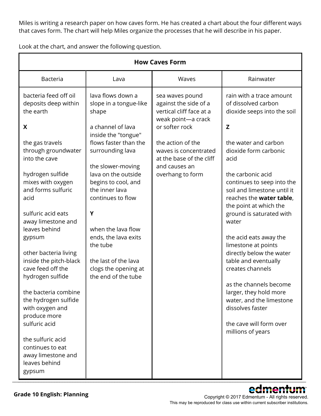Miles is writing a research paper on how caves form. He has created a chart about the four different ways that caves form. The chart will help Miles organize the processes that he will describe in his paper.

Look at the chart, and answer the following question.

| <b>How Caves Form</b>                                                                                                                                                                                                                                                                                                                                                                                                                                                                                                                                              |                                                                                                                                                                                                                                                                                                                                                                                               |                                                                                                                                                                                                                             |                                                                                                                                                                                                                                                                                                                                                                                                                                                                                                                                                                                                        |  |  |  |
|--------------------------------------------------------------------------------------------------------------------------------------------------------------------------------------------------------------------------------------------------------------------------------------------------------------------------------------------------------------------------------------------------------------------------------------------------------------------------------------------------------------------------------------------------------------------|-----------------------------------------------------------------------------------------------------------------------------------------------------------------------------------------------------------------------------------------------------------------------------------------------------------------------------------------------------------------------------------------------|-----------------------------------------------------------------------------------------------------------------------------------------------------------------------------------------------------------------------------|--------------------------------------------------------------------------------------------------------------------------------------------------------------------------------------------------------------------------------------------------------------------------------------------------------------------------------------------------------------------------------------------------------------------------------------------------------------------------------------------------------------------------------------------------------------------------------------------------------|--|--|--|
| <b>Bacteria</b>                                                                                                                                                                                                                                                                                                                                                                                                                                                                                                                                                    | Lava                                                                                                                                                                                                                                                                                                                                                                                          | Waves                                                                                                                                                                                                                       | Rainwater                                                                                                                                                                                                                                                                                                                                                                                                                                                                                                                                                                                              |  |  |  |
| bacteria feed off oil<br>deposits deep within<br>the earth<br>X<br>the gas travels<br>through groundwater<br>into the cave<br>hydrogen sulfide<br>mixes with oxygen<br>and forms sulfuric<br>acid<br>sulfuric acid eats<br>away limestone and<br>leaves behind<br>gypsum<br>other bacteria living<br>inside the pitch-black<br>cave feed off the<br>hydrogen sulfide<br>the bacteria combine<br>the hydrogen sulfide<br>with oxygen and<br>produce more<br>sulfuric acid<br>the sulfuric acid<br>continues to eat<br>away limestone and<br>leaves behind<br>gypsum | lava flows down a<br>slope in a tongue-like<br>shape<br>a channel of lava<br>inside the "tongue"<br>flows faster than the<br>surrounding lava<br>the slower-moving<br>lava on the outside<br>begins to cool, and<br>the inner lava<br>continues to flow<br>Y<br>when the lava flow<br>ends, the lava exits<br>the tube<br>the last of the lava<br>clogs the opening at<br>the end of the tube | sea waves pound<br>against the side of a<br>vertical cliff face at a<br>weak point-a crack<br>or softer rock<br>the action of the<br>waves is concentrated<br>at the base of the cliff<br>and causes an<br>overhang to form | rain with a trace amount<br>of dissolved carbon<br>dioxide seeps into the soil<br>Z<br>the water and carbon<br>dioxide form carbonic<br>acid<br>the carbonic acid<br>continues to seep into the<br>soil and limestone until it<br>reaches the water table,<br>the point at which the<br>ground is saturated with<br>water<br>the acid eats away the<br>limestone at points<br>directly below the water<br>table and eventually<br>creates channels<br>as the channels become<br>larger, they hold more<br>water, and the limestone<br>dissolves faster<br>the cave will form over<br>millions of years |  |  |  |

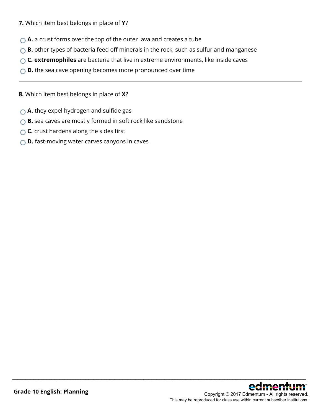- **7.** Which item best belongs in place of **Y**?
- **A.** a crust forms over the top of the outer lava and creates a tube
- **B.** other types of bacteria feed off minerals in the rock, such as sulfur and manganese

- **C. extremophiles** are bacteria that live in extreme environments, like inside caves
- **D.** the sea cave opening becomes more pronounced over time
- **8.** Which item best belongs in place of **X**?
- **A.** they expel hydrogen and sulfide gas
- **B.** sea caves are mostly formed in soft rock like sandstone
- **C.** crust hardens along the sides first
- **D.** fast-moving water carves canyons in caves

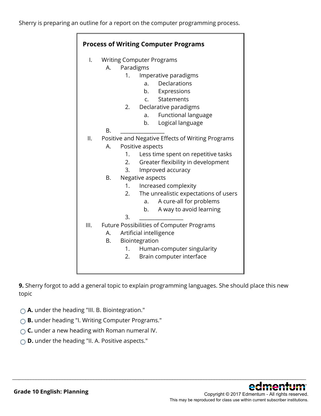| <b>Process of Writing Computer Programs</b> |    |                                  |                                                   |  |  |
|---------------------------------------------|----|----------------------------------|---------------------------------------------------|--|--|
| I.                                          |    | <b>Writing Computer Programs</b> |                                                   |  |  |
|                                             | Α. | Paradigms                        |                                                   |  |  |
|                                             |    | 1.                               | Imperative paradigms                              |  |  |
|                                             |    |                                  | Declarations<br>a.                                |  |  |
|                                             |    |                                  | b. Expressions                                    |  |  |
|                                             |    |                                  | Statements<br>$\mathsf{C}$ .                      |  |  |
|                                             |    | 2.                               | Declarative paradigms                             |  |  |
|                                             |    |                                  | Functional language<br>a.                         |  |  |
|                                             |    |                                  | Logical language<br>b.                            |  |  |
|                                             | Β. |                                  |                                                   |  |  |
| II.                                         |    |                                  | Positive and Negative Effects of Writing Programs |  |  |
|                                             | Α. |                                  | Positive aspects                                  |  |  |
|                                             |    | 1.                               | Less time spent on repetitive tasks               |  |  |
|                                             |    | 2.                               | Greater flexibility in development                |  |  |
|                                             |    | 3.                               | Improved accuracy                                 |  |  |
|                                             | Β. |                                  | Negative aspects                                  |  |  |
|                                             |    | 1.                               | Increased complexity                              |  |  |
|                                             |    | 2.                               | The unrealistic expectations of users             |  |  |
|                                             |    |                                  | A cure-all for problems<br>a.                     |  |  |
|                                             |    |                                  | A way to avoid learning<br>b.                     |  |  |
|                                             |    | 3.                               |                                                   |  |  |
| III.                                        |    |                                  | Future Possibilities of Computer Programs         |  |  |
|                                             | А. |                                  | Artificial intelligence                           |  |  |
|                                             | В. |                                  | Biointegration                                    |  |  |
|                                             |    | 1.                               | Human-computer singularity                        |  |  |
|                                             |    | 2.                               | Brain computer interface                          |  |  |
|                                             |    |                                  |                                                   |  |  |

**9.** Sherry forgot to add a general topic to explain programming languages. She should place this new topic

- **A.** under the heading "III. B. Biointegration."
- **B.** under heading "I. Writing Computer Programs."
- **C.** under a new heading with Roman numeral IV.
- **D.** under the heading "II. A. Positive aspects."

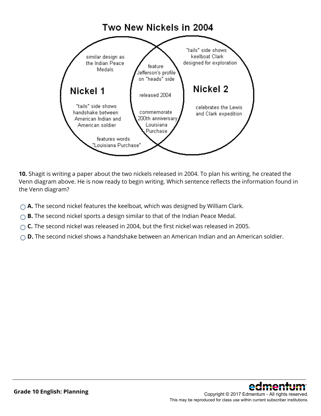

**10.** Shagit is writing a paper about the two nickels released in 2004. To plan his writing, he created the Venn diagram above. He is now ready to begin writing. Which sentence reflects the information found in the Venn diagram?

- **A.** The second nickel features the keelboat, which was designed by William Clark.
- **B.** The second nickel sports a design similar to that of the Indian Peace Medal.
- ◯ **C.** The second nickel was released in 2004, but the first nickel was released in 2005.
- **D.** The second nickel shows a handshake between an American Indian and an American soldier.

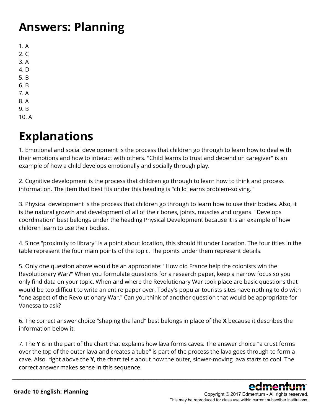### **Answers: Planning**

1. A  $2. C$ 3. A 4. D 5. B 6. B 7. A 8. A 9. B

10. A

### **Explanations**

1. Emotional and social development is the process that children go through to learn how to deal with their emotions and how to interact with others. "Child learns to trust and depend on caregiver" is an example of how a child develops emotionally and socially through play.

2. Cognitive development is the process that children go through to learn how to think and process information. The item that best fits under this heading is "child learns problem-solving."

3. Physical development is the process that children go through to learn how to use their bodies. Also, it is the natural growth and development of all of their bones, joints, muscles and organs. "Develops coordination" best belongs under the heading Physical Development because it is an example of how children learn to use their bodies.

4. Since "proximity to library" is a point about location, this should fit under Location. The four titles in the table represent the four main points of the topic. The points under them represent details.

5. Only one question above would be an appropriate: "How did France help the colonists win the Revolutionary War?" When you formulate questions for a research paper, keep a narrow focus so you only find data on your topic. When and where the Revolutionary War took place are basic questions that would be too difficult to write an entire paper over. Today's popular tourists sites have nothing to do with "one aspect of the Revolutionary War." Can you think of another question that would be appropriate for Vanessa to ask?

6. The correct answer choice "shaping the land" best belongs in place of the **X** because it describes the information below it.

7. The **Y** is in the part of the chart that explains how lava forms caves. The answer choice "a crust forms over the top of the outer lava and creates a tube" is part of the process the lava goes through to form a cave. Also, right above the **Y**, the chart tells about how the outer, slower-moving lava starts to cool. The correct answer makes sense in this sequence.

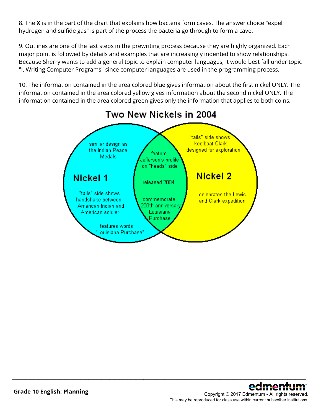8. The **X** is in the part of the chart that explains how bacteria form caves. The answer choice "expel hydrogen and sulfide gas" is part of the process the bacteria go through to form a cave.

9. Outlines are one of the last steps in the prewriting process because they are highly organized. Each major point is followed by details and examples that are increasingly indented to show relationships. Because Sherry wants to add a general topic to explain computer languages, it would best fall under topic "I. Writing Computer Programs" since computer languages are used in the programming process.

10. The information contained in the area colored blue gives information about the first nickel ONLY. The information contained in the area colored yellow gives information about the second nickel ONLY. The information contained in the area colored green gives only the information that applies to both coins.



\_\_\_\_\_\_\_\_\_\_\_\_\_\_\_\_\_\_\_\_\_\_\_\_\_\_\_\_\_\_\_\_\_\_\_\_\_\_\_\_\_\_\_\_\_\_\_\_\_\_\_\_\_\_\_\_\_\_\_\_\_\_\_\_\_\_\_\_\_\_\_\_\_\_\_\_\_\_\_\_\_\_\_\_\_\_\_\_\_\_\_\_\_\_\_\_\_\_\_\_\_\_\_\_\_\_\_\_\_\_\_\_

#### Copyright © 2017 Edmentum - All rights reserved.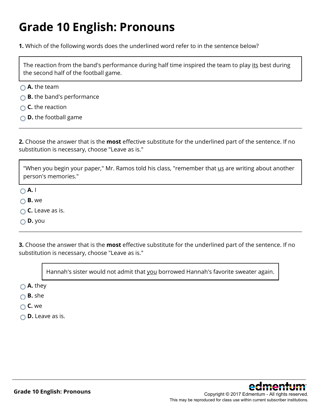### **Grade 10 English: Pronouns**

**1.** Which of the following words does the underlined word refer to in the sentence below?

The reaction from the band's performance during half time inspired the team to play its best during the second half of the football game.

- **A.** the team
- **B.** the band's performance
- **○** C. the reaction
- **D.** the football game

**2.** Choose the answer that is the **most** effective substitute for the underlined part of the sentence. If no substitution is necessary, choose "Leave as is."

"When you begin your paper," Mr. Ramos told his class, "remember that us are writing about another person's memories."

**A.** I

- **B.** we
- **C.** Leave as is.

**D.** you

**3.** Choose the answer that is the **most** effective substitute for the underlined part of the sentence. If no substitution is necessary, choose "Leave as is."

Hannah's sister would not admit that you borrowed Hannah's favorite sweater again.

\_\_\_\_\_\_\_\_\_\_\_\_\_\_\_\_\_\_\_\_\_\_\_\_\_\_\_\_\_\_\_\_\_\_\_\_\_\_\_\_\_\_\_\_\_\_\_\_\_\_\_\_\_\_\_\_\_\_\_\_\_\_\_\_\_\_\_\_\_\_\_\_\_\_\_\_\_\_\_\_\_\_\_\_\_\_\_\_\_\_\_\_\_\_\_\_\_\_\_\_\_\_\_\_\_\_\_\_\_\_\_\_

**A.** they

- **B.** she
- **C.** we
- **D.** Leave as is.

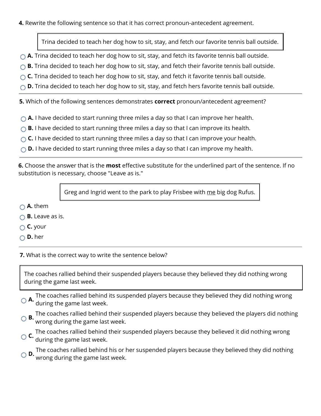#### **4.** Rewrite the following sentence so that it has correct pronoun-antecedent agreement.

Trina decided to teach her dog how to sit, stay, and fetch our favorite tennis ball outside.

- **A.** Trina decided to teach her dog how to sit, stay, and fetch its favorite tennis ball outside.
- **B.** Trina decided to teach her dog how to sit, stay, and fetch their favorite tennis ball outside.
- **C.** Trina decided to teach her dog how to sit, stay, and fetch it favorite tennis ball outside.
- **D.** Trina decided to teach her dog how to sit, stay, and fetch hers favorite tennis ball outside.

**5.** Which of the following sentences demonstrates **correct** pronoun/antecedent agreement?

- **A.** I have decided to start running three miles a day so that I can improve her health.
- **B.** I have decided to start running three miles a day so that I can improve its health.
- **C.** I have decided to start running three miles a day so that I can improve your health.
- **D.** I have decided to start running three miles a day so that I can improve my health.

**6.** Choose the answer that is the **most** effective substitute for the underlined part of the sentence. If no substitution is necessary, choose "Leave as is."

Greg and Ingrid went to the park to play Frisbee with me big dog Rufus.

- **A.** them
- **B.** Leave as is.
- **C.** your
- **D.** her

**7.** What is the correct way to write the sentence below?

The coaches rallied behind their suspended players because they believed they did nothing wrong during the game last week.

- **A.** The coaches rallied behind its suspended players because they believed they did nothing wrong **A.** during the same last weak during the game last week.
- **B.** The coaches rallied behind their suspended players because they believed the players did nothing **B.** wrong during the same last weak. wrong during the game last week.
- **C.** The coaches rallied behind their suspended players because they believed it did nothing wrong **C.** during the game lost weak. during the game last week.

**D.** The coaches rallied behind his or her suspended players because they believed they did nothing wrong during the game last week.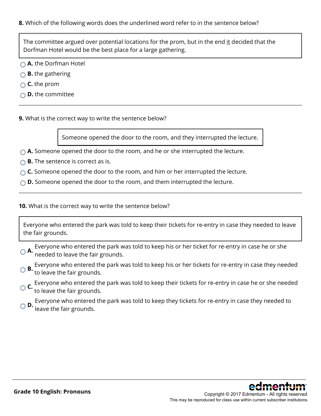**8.** Which of the following words does the underlined word refer to in the sentence below?

The committee argued over potential locations for the prom, but in the end it decided that the Dorfman Hotel would be the best place for a large gathering.

**A.** the Dorfman Hotel

**B.** the gathering

**C.** the prom

**D.** the committee

**9.** What is the correct way to write the sentence below?

Someone opened the door to the room, and they interrupted the lecture.

**A.** Someone opened the door to the room, and he or she interrupted the lecture.

**B.** The sentence is correct as is.

**C.** Someone opened the door to the room, and him or her interrupted the lecture.

**D.** Someone opened the door to the room, and them interrupted the lecture.

**10.** What is the correct way to write the sentence below?

Everyone who entered the park was told to keep their tickets for re-entry in case they needed to leave the fair grounds.

**A.** Everyone who entered the park was told to keep his or her ticket for re-entry in case he or she **C.A.** heeded to leave the fair grounds.

**B.** Everyone who entered the park was told to keep his or her tickets for re-entry in case they needed **B.** to leave the fair and the set of the set of the set of the set of the set of the set of the set of the set of the to leave the fair grounds.

**C.** Everyone who entered the park was told to keep their tickets for re-entry in case he or she needed **c**<br>**t**o leave the fair grounds.

**D.** Everyone who entered the park was told to keep they tickets for re-entry in case they needed to **D.** leave the fair grounds.

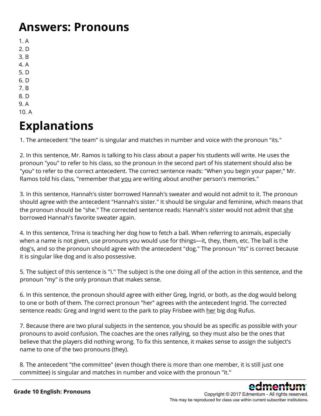#### **Answers: Pronouns**

1. A

- 2. D
- 3. B
- 4. A
- 5. D
- 6. D 7. B
- 8. D
- 9. A
- 10. A

### **Explanations**

1. The antecedent "the team" is singular and matches in number and voice with the pronoun "its."

2. In this sentence, Mr. Ramos is talking to his class about a paper his students will write. He uses the pronoun "you" to refer to his class, so the pronoun in the second part of his statement should also be "you" to refer to the correct antecedent. The correct sentence reads: "When you begin your paper," Mr. Ramos told his class, "remember that you are writing about another person's memories."

3. In this sentence, Hannah's sister borrowed Hannah's sweater and would not admit to it. The pronoun should agree with the antecedent "Hannah's sister." It should be singular and feminine, which means that the pronoun should be "she." The corrected sentence reads: Hannah's sister would not admit that she borrowed Hannah's favorite sweater again.

4. In this sentence, Trina is teaching her dog how to fetch a ball. When referring to animals, especially when a name is not given, use pronouns you would use for things—it, they, them, etc. The ball is the dog's, and so the pronoun should agree with the antecedent "dog." The pronoun "its" is correct because it is singular like dog and is also possessive.

5. The subject of this sentence is "I." The subject is the one doing all of the action in this sentence, and the pronoun "my" is the only pronoun that makes sense.

6. In this sentence, the pronoun should agree with either Greg, Ingrid, or both, as the dog would belong to one or both of them. The correct pronoun "her" agrees with the antecedent Ingrid. The corrected sentence reads: Greg and Ingrid went to the park to play Frisbee with her big dog Rufus.

7. Because there are two plural subjects in the sentence, you should be as specific as possible with your pronouns to avoid confusion. The coaches are the ones rallying, so they must also be the ones that believe that the players did nothing wrong. To fix this sentence, it makes sense to assign the subject's name to one of the two pronouns (they).

8. The antecedent "the committee" (even though there is more than one member, it is still just one committee) is singular and matches in number and voice with the pronoun "it." \_\_\_\_\_\_\_\_\_\_\_\_\_\_\_\_\_\_\_\_\_\_\_\_\_\_\_\_\_\_\_\_\_\_\_\_\_\_\_\_\_\_\_\_\_\_\_\_\_\_\_\_\_\_\_\_\_\_\_\_\_\_\_\_\_\_\_\_\_\_\_\_\_\_\_\_\_\_\_\_\_\_\_\_\_\_\_\_\_\_\_\_\_\_\_\_\_\_\_\_\_\_\_\_\_\_\_\_\_\_\_\_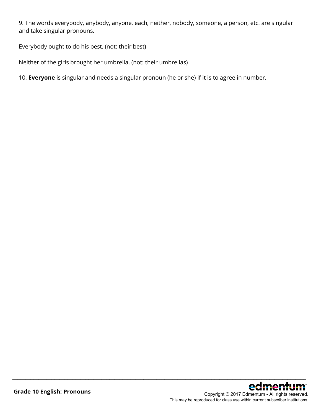9. The words everybody, anybody, anyone, each, neither, nobody, someone, a person, etc. are singular and take singular pronouns.

\_\_\_\_\_\_\_\_\_\_\_\_\_\_\_\_\_\_\_\_\_\_\_\_\_\_\_\_\_\_\_\_\_\_\_\_\_\_\_\_\_\_\_\_\_\_\_\_\_\_\_\_\_\_\_\_\_\_\_\_\_\_\_\_\_\_\_\_\_\_\_\_\_\_\_\_\_\_\_\_\_\_\_\_\_\_\_\_\_\_\_\_\_\_\_\_\_\_\_\_\_\_\_\_\_\_\_\_\_\_\_\_

Everybody ought to do his best. (not: their best)

Neither of the girls brought her umbrella. (not: their umbrellas)

10. **Everyone** is singular and needs a singular pronoun (he or she) if it is to agree in number.

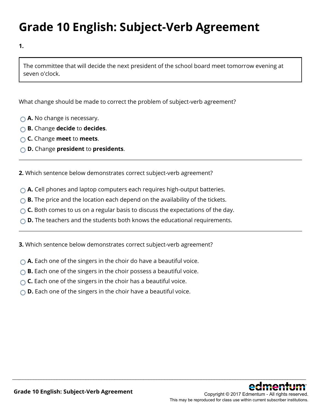### **Grade 10 English: Subject-Verb Agreement**

**1.**

The committee that will decide the next president of the school board meet tomorrow evening at seven o'clock.

What change should be made to correct the problem of subject-verb agreement?

- **A.** No change is necessary.
- **B.** Change **decide** to **decides**.
- **C.** Change **meet** to **meets**.
- **D.** Change **president** to **presidents**.

**2.** Which sentence below demonstrates correct subject-verb agreement?

- **A.** Cell phones and laptop computers each requires high-output batteries.
- **B.** The price and the location each depend on the availability of the tickets.
- **C.** Both comes to us on a regular basis to discuss the expectations of the day.
- **D.** The teachers and the students both knows the educational requirements.

\_\_\_\_\_\_\_\_\_\_\_\_\_\_\_\_\_\_\_\_\_\_\_\_\_\_\_\_\_\_\_\_\_\_\_\_\_\_\_\_\_\_\_\_\_\_\_\_\_\_\_\_\_\_\_\_\_\_\_\_\_\_\_\_\_\_\_\_\_\_\_\_\_\_\_\_\_\_\_\_\_\_\_\_\_\_\_\_\_\_\_\_\_\_\_\_\_\_\_\_\_\_\_\_\_\_\_\_\_\_\_\_

**3.** Which sentence below demonstrates correct subject-verb agreement?

- ◯ **A.** Each one of the singers in the choir do have a beautiful voice.
- **B.** Each one of the singers in the choir possess a beautiful voice.
- **C.** Each one of the singers in the choir has a beautiful voice.
- **D.** Each one of the singers in the choir have a beautiful voice.

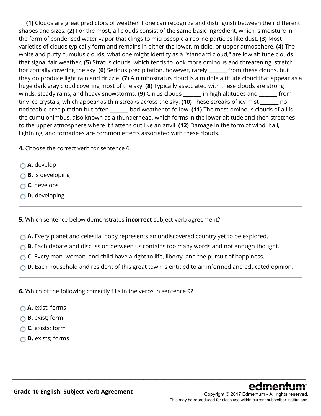**(1)** Clouds are great predictors of weather if one can recognize and distinguish between their different shapes and sizes. **(2)** For the most, all clouds consist of the same basic ingredient, which is moisture in the form of condensed water vapor that clings to microscopic airborne particles like dust. **(3)** Most varieties of clouds typically form and remains in either the lower, middle, or upper atmosphere. **(4)** The white and puffy cumulus clouds, what one might identify as a "standard cloud," are low altitude clouds that signal fair weather. **(5)** Stratus clouds, which tends to look more ominous and threatening, stretch horizontally covering the sky. **(6)** Serious precipitation, however, rarely \_\_\_\_\_\_\_ from these clouds, but they do produce light rain and drizzle. **(7)** A nimbostratus cloud is a middle altitude cloud that appear as a huge dark gray cloud covering most of the sky. **(8)** Typically associated with these clouds are strong winds, steady rains, and heavy snowstorms. **(9)** Cirrus clouds \_\_\_\_\_\_\_ in high altitudes and \_\_\_\_\_\_\_ from tiny ice crystals, which appear as thin streaks across the sky. **(10)** These streaks of icy mist \_\_\_\_\_\_\_ no noticeable precipitation but often \_\_\_\_\_\_\_ bad weather to follow. **(11)** The most ominous clouds of all is the cumulonimbus, also known as a thunderhead, which forms in the lower altitude and then stretches to the upper atmosphere where it flattens out like an anvil. **(12)** Damage in the form of wind, hail, lightning, and tornadoes are common effects associated with these clouds.

**4.** Choose the correct verb for sentence 6.

- **A.** develop
- **B.** is developing
- **C.** develops
- **D.** developing

**5.** Which sentence below demonstrates **incorrect** subject-verb agreement?

- **A.** Every planet and celestial body represents an undiscovered country yet to be explored.
- **B.** Each debate and discussion between us contains too many words and not enough thought.
- **C.** Every man, woman, and child have a right to life, liberty, and the pursuit of happiness.
- **D.** Each household and resident of this great town is entitled to an informed and educated opinion.

\_\_\_\_\_\_\_\_\_\_\_\_\_\_\_\_\_\_\_\_\_\_\_\_\_\_\_\_\_\_\_\_\_\_\_\_\_\_\_\_\_\_\_\_\_\_\_\_\_\_\_\_\_\_\_\_\_\_\_\_\_\_\_\_\_\_\_\_\_\_\_\_\_\_\_\_\_\_\_\_\_\_\_\_\_\_\_\_\_\_\_\_\_\_\_\_\_\_\_\_\_\_\_\_\_\_\_\_\_\_\_\_

**6.** Which of the following correctly fills in the verbs in sentence 9?

- **A.** exist; forms
- **B.** exist; form
- **C.** exists; form
- **D.** exists; forms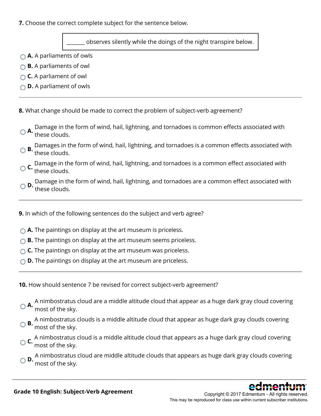**7.** Choose the correct complete subject for the sentence below.

observes silently while the doings of the night transpire below.

- **A.** A parliaments of owls
- **B.** A parliaments of owl
- **C.** A parliament of owl
- **D.** A parliament of owls

**8.** What change should be made to correct the problem of subject-verb agreement?

- **A.** Damage in the form of wind, hail, lightning, and tornadoes is common effects associated with<br>**A.** these clouds.
- **B.** Damages in the form of wind, hail, lightning, and tornadoes is a common effects associated with these clouds.

**C.** Damage in the form of wind, hail, lightning, and tornadoes is a common effect associated with these clouds.

- **D.** Damage in the form of wind, hail, lightning, and tornadoes are a common effect associated with these clouds.
- **9.** In which of the following sentences do the subject and verb agree?
- **A.** The paintings on display at the art museum is priceless.
- **B.** The paintings on display at the art museum seems priceless.
- **C.** The paintings on display at the art museum was priceless.
- **D.** The paintings on display at the art museum are priceless.

**10.** How should sentence 7 be revised for correct subject-verb agreement?

- **A.** A nimbostratus cloud are a middle altitude cloud that appear as a huge dark gray cloud covering **A.** most of the slate most of the sky.
- **B.** A nimbostratus clouds is a middle altitude cloud that appear as huge dark gray clouds covering most of the sky.
- **C.** A nimbostratus cloud is a middle altitude cloud that appears as a huge dark gray cloud covering most of the sky.
- **D.** A nimbostratus cloud are middle altitude clouds that appears as huge dark gray clouds covering most of the sky.

\_\_\_\_\_\_\_\_\_\_\_\_\_\_\_\_\_\_\_\_\_\_\_\_\_\_\_\_\_\_\_\_\_\_\_\_\_\_\_\_\_\_\_\_\_\_\_\_\_\_\_\_\_\_\_\_\_\_\_\_\_\_\_\_\_\_\_\_\_\_\_\_\_\_\_\_\_\_\_\_\_\_\_\_\_\_\_\_\_\_\_\_\_\_\_\_\_\_\_\_\_\_\_\_\_\_\_\_\_\_\_\_



Copyright © 2017 Edmentum - All rights reserved. This may be reproduced for class use within current subscriber institutions.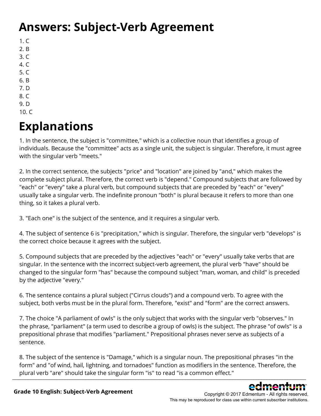### **Answers: Subject-Verb Agreement**

- 1. C 2. B
- 3. C
- 4. C
- 5. C
- 6. B
- 7. D
- 8. C
- 9. D
- $10. C$

## **Explanations**

1. In the sentence, the subject is "committee," which is a collective noun that identifies a group of individuals. Because the "committee" acts as a single unit, the subject is singular. Therefore, it must agree with the singular verb "meets."

2. In the correct sentence, the subjects "price" and "location" are joined by "and," which makes the complete subject plural. Therefore, the correct verb is "depend." Compound subjects that are followed by "each" or "every" take a plural verb, but compound subjects that are preceded by "each" or "every" usually take a singular verb. The indefinite pronoun "both" is plural because it refers to more than one thing, so it takes a plural verb.

3. "Each one" is the subject of the sentence, and it requires a singular verb.

4. The subject of sentence 6 is "precipitation," which is singular. Therefore, the singular verb "develops" is the correct choice because it agrees with the subject.

5. Compound subjects that are preceded by the adjectives "each" or "every" usually take verbs that are singular. In the sentence with the incorrect subject-verb agreement, the plural verb "have" should be changed to the singular form "has" because the compound subject "man, woman, and child" is preceded by the adjective "every."

6. The sentence contains a plural subject ("Cirrus clouds") and a compound verb. To agree with the subject, both verbs must be in the plural form. Therefore, "exist" and "form" are the correct answers.

7. The choice "A parliament of owls" is the only subject that works with the singular verb "observes." In the phrase, "parliament" (a term used to describe a group of owls) is the subject. The phrase "of owls" is a prepositional phrase that modifies "parliament." Prepositional phrases never serve as subjects of a sentence.

8. The subject of the sentence is "Damage," which is a singular noun. The prepositional phrases "in the form" and "of wind, hail, lightning, and tornadoes" function as modifiers in the sentence. Therefore, the plural verb "are" should take the singular form "is" to read "is a common effect."  $\_$  . The contribution of the contribution of  $\mathcal{S}$  . The contribution of the contribution of the contribution of the contribution of the contribution of the contribution of the contribution of the contribution of the

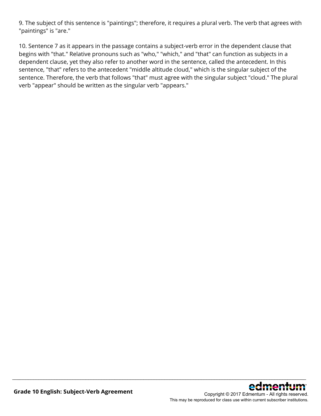9. The subject of this sentence is "paintings"; therefore, it requires a plural verb. The verb that agrees with "paintings" is "are."

10. Sentence 7 as it appears in the passage contains a subject-verb error in the dependent clause that begins with "that." Relative pronouns such as "who," "which," and "that" can function as subjects in a dependent clause, yet they also refer to another word in the sentence, called the antecedent. In this sentence, "that" refers to the antecedent "middle altitude cloud," which is the singular subject of the sentence. Therefore, the verb that follows "that" must agree with the singular subject "cloud." The plural verb "appear" should be written as the singular verb "appears."

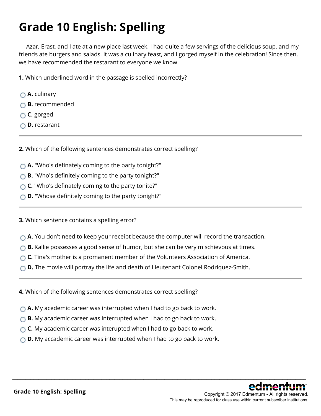## **Grade 10 English: Spelling**

 Azar, Erast, and I ate at a new place last week. I had quite a few servings of the delicious soup, and my friends ate burgers and salads. It was a culinary feast, and I gorged myself in the celebration! Since then, we have recommended the restarant to everyone we know.

**1.** Which underlined word in the passage is spelled incorrectly?

- **A.** culinary
- **B.** recommended
- **C.** gorged
- **D.** restarant

**2.** Which of the following sentences demonstrates correct spelling?

- **A.** "Who's definately coming to the party tonight?"
- **B.** "Who's definitely coming to the party tonight?"
- **C.** "Who's definately coming to the party tonite?"
- **D.** "Whose definitely coming to the party tonight?"

**3.** Which sentence contains a spelling error?

**A.** You don't need to keep your receipt because the computer will record the transaction.

- **B.** Kallie possesses a good sense of humor, but she can be very mischievous at times.
- **C.** Tina's mother is a promanent member of the Volunteers Association of America.
- **D.** The movie will portray the life and death of Lieutenant Colonel Rodriquez-Smith.
- **4.** Which of the following sentences demonstrates correct spelling?
- **A.** My acedemic career was interrupted when I had to go back to work.
- **B.** My academic career was interrupted when I had to go back to work.
- **C.** My academic career was interupted when I had to go back to work.
- **D.** My accademic career was interrupted when I had to go back to work.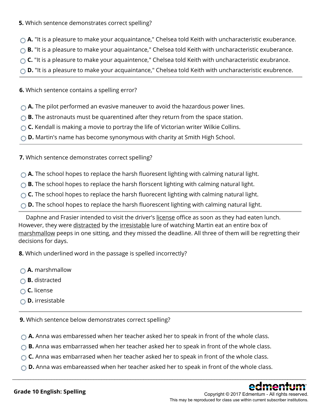#### **5.** Which sentence demonstrates correct spelling?

- **A.** "It is a pleasure to make your acquaintance," Chelsea told Keith with uncharacteristic exuberance.
- **B.** "It is a pleasure to make your aquaintance," Chelsea told Keith with uncharacteristic exuberance.
- **C.** "It is a pleasure to make your aquaintence," Chelsea told Keith with uncharacteristic exubrance.
- **D.** "It is a pleasure to make your acquaintance," Chelsea told Keith with uncharacteristic exubrence.

**6.** Which sentence contains a spelling error?

- **A.** The pilot performed an evasive maneuver to avoid the hazardous power lines.
- **B.** The astronauts must be quarentined after they return from the space station.
- **C.** Kendall is making a movie to portray the life of Victorian writer Wilkie Collins.
- **D.** Martin's name has become synonymous with charity at Smith High School.

**7.** Which sentence demonstrates correct spelling?

- **A.** The school hopes to replace the harsh fluoresent lighting with calming natural light.
- **B.** The school hopes to replace the harsh florscent lighting with calming natural light.
- ◯ **C.** The school hopes to replace the harsh fluorecent lighting with calming natural light.
- **D.** The school hopes to replace the harsh fluorescent lighting with calming natural light.

 Daphne and Frasier intended to visit the driver's license office as soon as they had eaten lunch. However, they were distracted by the irresistable lure of watching Martin eat an entire box of marshmallow peeps in one sitting, and they missed the deadline. All three of them will be regretting their decisions for days.

**8.** Which underlined word in the passage is spelled incorrectly?

- **△A.** marshmallow
- **B.** distracted
- **C.** license
- **D.** irresistable

**9.** Which sentence below demonstrates correct spelling?

- **A.** Anna was embaressed when her teacher asked her to speak in front of the whole class.
- ◯ **B.** Anna was embarrassed when her teacher asked her to speak in front of the whole class.
- **C.** Anna was embarrased when her teacher asked her to speak in front of the whole class.
- **D.** Anna was embareassed when her teacher asked her to speak in front of the whole class.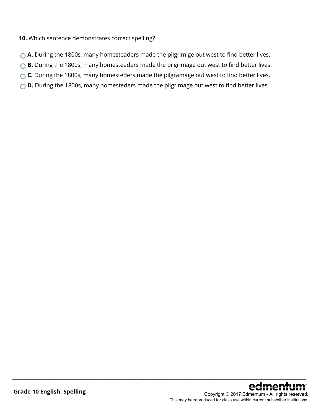#### **10.** Which sentence demonstrates correct spelling?

- **A.** During the 1800s, many homesteaders made the pilgrimige out west to find better lives.
- **B.** During the 1800s, many homesteaders made the pilgrimage out west to find better lives.
- **C.** During the 1800s, many homesteders made the pilgramage out west to find better lives.
- ◯ **D.** During the 1800s, many homesteders made the pilgrimage out west to find better lives.